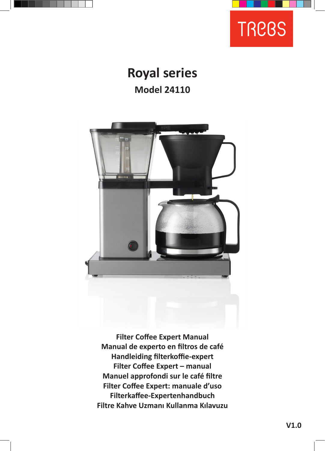



# **Royal series Model 24110**



**Filter Coffee Expert Manual Manual de experto en filtros de café Handleiding filterkoffie-expert Filter Coffee Expert – manual Manuel approfondi sur le café filtre Filter Coffee Expert: manuale d'uso Filterkaffee-Expertenhandbuch Filtre Kahve Uzmanı Kullanma Kılavuzu**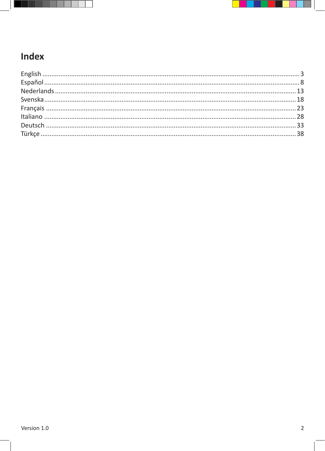



## **Index**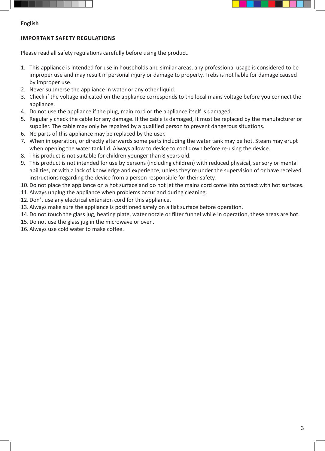



#### **English**

#### **IMPORTANT SAFETY REGULATIONS**

Please read all safety regulations carefully before using the product.

- 1. This appliance is intended for use in households and similar areas, any professional usage is considered to be improper use and may result in personal injury or damage to property. Trebs is not liable for damage caused by improper use.
- 2. Never submerse the appliance in water or any other liquid.
- 3. Check if the voltage indicated on the appliance corresponds to the local mains voltage before you connect the appliance.
- 4. Do not use the appliance if the plug, main cord or the appliance itself is damaged.
- 5. Regularly check the cable for any damage. If the cable is damaged, it must be replaced by the manufacturer or supplier. The cable may only be repaired by a qualified person to prevent dangerous situations.
- 6. No parts of this appliance may be replaced by the user.
- 7. When in operation, or directly afterwards some parts including the water tank may be hot. Steam may erupt when opening the water tank lid. Always allow to device to cool down before re-using the device.
- 8. This product is not suitable for children younger than 8 years old.
- 9. This product is not intended for use by persons (including children) with reduced physical, sensory or mental abilities, or with a lack of knowledge and experience, unless they're under the supervision of or have received instructions regarding the device from a person responsible for their safety.
- 10.Do not place the appliance on a hot surface and do not let the mains cord come into contact with hot surfaces.
- 11. Always unplug the appliance when problems occur and during cleaning.
- 12.Don't use any electrical extension cord for this appliance.
- 13. Always make sure the appliance is positioned safely on a flat surface before operation.
- 14.Do not touch the glass jug, heating plate, water nozzle or filter funnel while in operation, these areas are hot.
- 15.Do not use the glass jug in the microwave or oven.
- 16. Always use cold water to make coffee.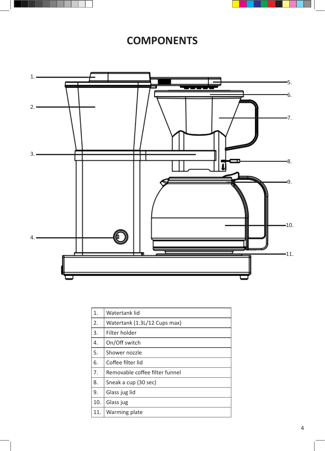



## **COMPONENTS**



| 1.  | Watertank lid                  |
|-----|--------------------------------|
| 2.  | Watertank (1.3L/12 Cups max)   |
| 3.  | Filter holder                  |
| 4.  | On/Off switch                  |
| 5.  | Shower nozzle                  |
| 6.  | Coffee filter lid              |
| 7.  | Removable coffee filter funnel |
| 8.  | Sneak a cup (30 sec)           |
| 9.  | Glass jug lid                  |
| 10. | Glass jug                      |
| 11. | Warming plate                  |
|     |                                |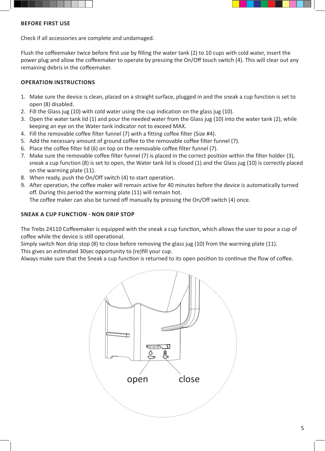



#### **BEFORE FIRST USE**

Check if all accessories are complete and undamaged.

Flush the coffeemaker twice before first use by filling the water tank (2) to 10 cups with cold water, insert the power plug and allow the coffeemaker to operate by pressing the On/Off touch switch (4). This will clear out any remaining debris in the coffeemaker.

#### **OPERATION INSTRUCTIONS**

- 1. Make sure the device is clean, placed on a straight surface, plugged in and the sneak a cup function is set to open (8) disabled.
- 2. Fill the Glass jug (10) with cold water using the cup indication on the glass jug (10).
- 3. Open the water tank lid (1) and pour the needed water from the Glass jug (10) into the water tank (2), while keeping an eye on the Water tank indicator not to exceed MAX.
- 4. Fill the removable coffee filter funnel (7) with a fitting coffee filter (Size #4).
- 5. Add the necessary amount of ground coffee to the removable coffee filter funnel (7).
- 6. Place the coffee filter lid (6) on top on the removable coffee filter funnel (7).
- 7. Make sure the removable coffee filter funnel (7) is placed in the correct position within the filter holder (3), sneak a cup function (8) is set to open, the Water tank lid is closed (1) and the Glass jug (10) is correctly placed on the warming plate (11).
- 8. When ready, push the On/Off switch (4) to start operation.
- 9. After operation, the coffee maker will remain active for 40 minutes before the device is automatically turned off. During this period the warming plate (11) will remain hot.

The coffee maker can also be turned off manually by pressing the On/Off switch (4) once.

#### **SNEAK A CUP FUNCTION - NON DRIP STOP**

The Trebs 24110 Coffeemaker is equipped with the sneak a cup function, which allows the user to pour a cup of coffee while the device is still operational.

Simply switch Non drip stop (8) to close before removing the glass jug (10) from the warming plate (11). This gives an estimated 30sec opportunity to (re)fill your cup.

Always make sure that the Sneak a cup function is returned to its open position to continue the flow of coffee.

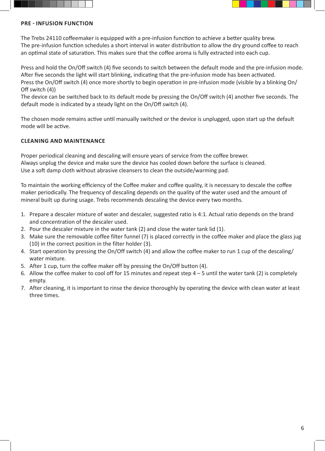



#### **PRE - INFUSION FUNCTION**

The Trebs 24110 coffeemaker is equipped with a pre-infusion function to achieve a better quality brew. The pre-infusion function schedules a short interval in water distribution to allow the dry ground coffee to reach an optimal state of saturation. This makes sure that the coffee aroma is fully extracted into each cup.

Press and hold the On/Off switch (4) five seconds to switch between the default mode and the pre-infusion mode. After five seconds the light will start blinking, indicating that the pre-infusion mode has been activated. Press the On/Off switch (4) once more shortly to begin operation in pre-infusion mode (visible by a blinking On/ Off switch (4))

The device can be switched back to its default mode by pressing the On/Off switch (4) another five seconds. The default mode is indicated by a steady light on the On/Off switch (4).

The chosen mode remains active until manually switched or the device is unplugged, upon start up the default mode will be active.

### **CLEANING AND MAINTENANCE**

Proper periodical cleaning and descaling will ensure years of service from the coffee brewer. Always unplug the device and make sure the device has cooled down before the surface is cleaned. Use a soft damp cloth without abrasive cleansers to clean the outside/warming pad.

To maintain the working efficiency of the Coffee maker and coffee quality, it is necessary to descale the coffee maker periodically. The frequency of descaling depends on the quality of the water used and the amount of mineral built up during usage. Trebs recommends descaling the device every two months.

- 1. Prepare a descaler mixture of water and descaler, suggested ratio is 4:1. Actual ratio depends on the brand and concentration of the descaler used.
- 2. Pour the descaler mixture in the water tank (2) and close the water tank lid (1).
- 3. Make sure the removable coffee filter funnel (7) is placed correctly in the coffee maker and place the glass jug (10) in the correct position in the filter holder (3).
- 4. Start operation by pressing the On/Off switch (4) and allow the coffee maker to run 1 cup of the descaling/ water mixture.
- 5. After 1 cup, turn the coffee maker off by pressing the On/Off button (4).
- 6. Allow the coffee maker to cool off for 15 minutes and repeat step  $4 5$  until the water tank (2) is completely empty.
- 7. After cleaning, it is important to rinse the device thoroughly by operating the device with clean water at least three times.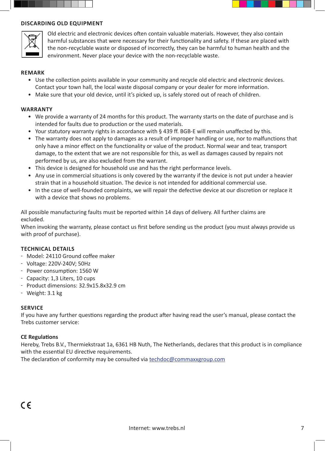

#### **DISCARDING OLD EQUIPMENT**



Old electric and electronic devices often contain valuable materials. However, they also contain harmful substances that were necessary for their functionality and safety. If these are placed with the non-recyclable waste or disposed of incorrectly, they can be harmful to human health and the environment. Never place your device with the non-recyclable waste.

#### **REMARK**

- Use the collection points available in your community and recycle old electric and electronic devices. Contact your town hall, the local waste disposal company or your dealer for more information.
- Make sure that your old device, until it's picked up, is safely stored out of reach of children.

#### **WARRANTY**

- We provide a warranty of 24 months for this product. The warranty starts on the date of purchase and is intended for faults due to production or the used materials.
- Your statutory warranty rights in accordance with § 439 ff. BGB-E will remain unaffected by this.
- The warranty does not apply to damages as a result of improper handling or use, nor to malfunctions that only have a minor effect on the functionality or value of the product. Normal wear and tear, transport damage, to the extent that we are not responsible for this, as well as damages caused by repairs not performed by us, are also excluded from the warrant.
- This device is designed for household use and has the right performance levels.
- Any use in commercial situations is only covered by the warranty if the device is not put under a heavier strain that in a household situation. The device is not intended for additional commercial use.
- In the case of well-founded complaints, we will repair the defective device at our discretion or replace it with a device that shows no problems.

All possible manufacturing faults must be reported within 14 days of delivery. All further claims are excluded.

When invoking the warranty, please contact us first before sending us the product (you must always provide us with proof of purchase).

#### **TECHNICAL DETAILS**

- Model: 24110 Ground coffee maker
- Voltage: 220V-240V; 50Hz
- Power consumption: 1560 W
- Capacity: 1,3 Liters, 10 cups
- Product dimensions: 32.9x15.8x32.9 cm
- $-$  Weight: 3.1 kg

#### **SERVICE**

If you have any further questions regarding the product after having read the user's manual, please contact the Trebs customer service:

#### **CE Regulations**

Hereby, Trebs B.V., Thermiekstraat 1a, 6361 HB Nuth, The Netherlands, declares that this product is in compliance with the essential EU directive requirements.

The declaration of conformity may be consulted via techdoc@commaxxgroup.com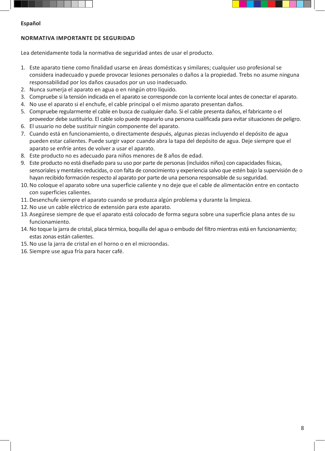



#### **Español**

#### **NORMATIVA IMPORTANTE DE SEGURIDAD**

Lea detenidamente toda la normativa de seguridad antes de usar el producto.

- 1. Este aparato tiene como finalidad usarse en áreas domésticas y similares; cualquier uso profesional se considera inadecuado y puede provocar lesiones personales o daños a la propiedad. Trebs no asume ninguna responsabilidad por los daños causados por un uso inadecuado.
- 2. Nunca sumerja el aparato en agua o en ningún otro líquido.
- 3. Compruebe si la tensión indicada en el aparato se corresponde con la corriente local antes de conectar el aparato.
- 4. No use el aparato si el enchufe, el cable principal o el mismo aparato presentan daños.
- 5. Compruebe regularmente el cable en busca de cualquier daño. Si el cable presenta daños, el fabricante o el proveedor debe sustituirlo. El cable solo puede repararlo una persona cualificada para evitar situaciones de peligro.
- 6. El usuario no debe sustituir ningún componente del aparato.
- 7. Cuando está en funcionamiento, o directamente después, algunas piezas incluyendo el depósito de agua pueden estar calientes. Puede surgir vapor cuando abra la tapa del depósito de agua. Deje siempre que el aparato se enfríe antes de volver a usar el aparato.
- 8. Este producto no es adecuado para niños menores de 8 años de edad.
- 9. Este producto no está diseñado para su uso por parte de personas (incluidos niños) con capacidades físicas, sensoriales y mentales reducidas, o con falta de conocimiento y experiencia salvo que estén bajo la supervisión de o hayan recibido formación respecto al aparato por parte de una persona responsable de su seguridad.
- 10.No coloque el aparato sobre una superficie caliente y no deje que el cable de alimentación entre en contacto con superficies calientes.
- 11.Desenchufe siempre el aparato cuando se produzca algún problema y durante la limpieza.
- 12.No use un cable eléctrico de extensión para este aparato.
- 13. Asegúrese siempre de que el aparato está colocado de forma segura sobre una superficie plana antes de su funcionamiento.
- 14. No toque la jarra de cristal, placa térmica, boquilla del agua o embudo del filtro mientras está en funcionamiento; estas zonas están calientes.
- 15.No use la jarra de cristal en el horno o en el microondas.
- 16. Siempre use agua fría para hacer café.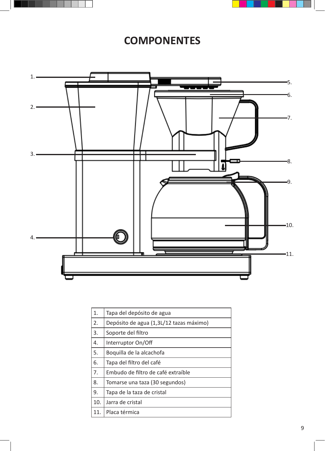



## **COMPONENTES**



| 1.  | Tapa del depósito de agua               |
|-----|-----------------------------------------|
| 2.  | Depósito de agua (1,3L/12 tazas máximo) |
| 3.  | Soporte del filtro                      |
| 4.  | Interruptor On/Off                      |
| 5.  | Boquilla de la alcachofa                |
| 6.  | Tapa del filtro del café                |
| 7.  | Embudo de filtro de café extraíble      |
| 8.  | Tomarse una taza (30 segundos)          |
| 9.  | Tapa de la taza de cristal              |
| 10. | Jarra de cristal                        |
| 11. | Placa térmica                           |
|     |                                         |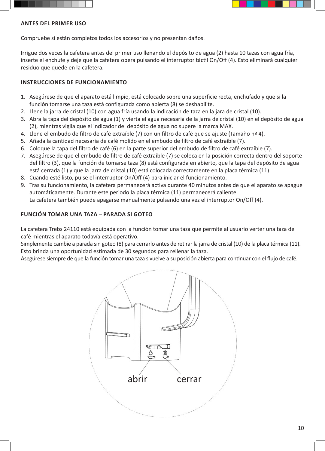



### **ANTES DEL PRIMER USO**

Compruebe si están completos todos los accesorios y no presentan daños.

Irrigue dos veces la cafetera antes del primer uso llenando el depósito de agua (2) hasta 10 tazas con agua fría, inserte el enchufe y deje que la cafetera opera pulsando el interruptor táctil On/Off (4). Esto eliminará cualquier residuo que quede en la cafetera.

## **INSTRUCCIONES DE FUNCIONAMIENTO**

- 1. Asegúrese de que el aparato está limpio, está colocado sobre una superficie recta, enchufado y que si la función tomarse una taza está configurada como abierta (8) se deshabilite.
- 2. Llene la jarra de cristal (10) con agua fría usando la indicación de taza en la jara de cristal (10).
- 3. Abra la tapa del depósito de agua (1) y vierta el agua necesaria de la jarra de cristal (10) en el depósito de agua (2), mientras vigila que el indicador del depósito de agua no supere la marca MAX.
- 4. Llene el embudo de filtro de café extraíble (7) con un filtro de café que se ajuste (Tamaño nº 4).
- 5. Añada la cantidad necesaria de café molido en el embudo de filtro de café extraíble (7).
- 6. Coloque la tapa del filtro de café (6) en la parte superior del embudo de filtro de café extraíble (7).
- 7. Asegúrese de que el embudo de filtro de café extraíble (7) se coloca en la posición correcta dentro del soporte del filtro (3), que la función de tomarse taza (8) está configurada en abierto, que la tapa del depósito de agua está cerrada (1) y que la jarra de cristal (10) está colocada correctamente en la placa térmica (11).
- 8. Cuando esté listo, pulse el interruptor On/Off (4) para iniciar el funcionamiento.
- 9. Tras su funcionamiento, la cafetera permanecerá activa durante 40 minutos antes de que el aparato se apague automáticamente. Durante este periodo la placa térmica (11) permanecerá caliente. La cafetera también puede apagarse manualmente pulsando una vez el interruptor On/Off (4).

## **FUNCIÓN TOMAR UNA TAZA – PARADA SI GOTEO**

La cafetera Trebs 24110 está equipada con la función tomar una taza que permite al usuario verter una taza de café mientras el aparato todavía está operativo.

Simplemente cambie a parada sin goteo (8) para cerrarlo antes de retirar la jarra de cristal (10) de la placa térmica (11). Esto brinda una oportunidad estimada de 30 segundos para rellenar la taza.

Asegúrese siempre de que la función tomar una taza s vuelve a su posición abierta para continuar con el flujo de café.

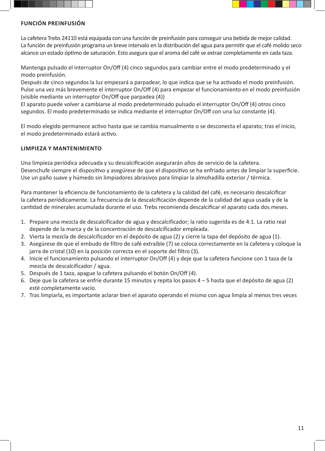



## **FUNCIÓN PREINFUSIÓN**

La cafetera Trebs 24110 está equipada con una función de preinfusión para conseguir una bebida de mejor calidad. La función de preinfusión programa un breve intervalo en la distribución del agua para permitir que el café molido seco alcance un estado óptimo de saturación. Esto asegura que el aroma del café se extrae completamente en cada taza.

Mantenga pulsado el interruptor On/Off (4) cinco segundos para cambiar entre el modo predeterminado y el modo preinfusión.

Después de cinco segundos la luz empezará a parpadear, lo que indica que se ha activado el modo preinfusión. Pulse una vez más brevemente el interruptor On/Off (4) para empezar el funcionamiento en el modo preinfusión (visible mediante un interruptor On/Off que parpadea (4))

El aparato puede volver a cambiarse al modo predeterminado pulsado el interruptor On/Off (4) otros cinco segundos. El modo predeterminado se indica mediante el interruptor On/Off con una luz constante (4).

El modo elegido permanece activo hasta que se cambia manualmente o se desconecta el aparato; tras el inicio, el modo predeterminado estará activo.

#### **LIMPIEZA Y MANTENIMIENTO**

Una limpieza periódica adecuada y su descalcificación asegurarán años de servicio de la cafetera. Desenchufe siempre el dispositivo y asegúrese de que el dispositivo se ha enfriado antes de limpiar la superficie. Use un paño suave y húmedo sin limpiadores abrasivos para limpiar la almohadilla exterior / térmica.

Para mantener la eficiencia de funcionamiento de la cafetera y la calidad del café, es necesario descalcificar la cafetera periódicamente. La frecuencia de la descalcificación depende de la calidad del agua usada y de la cantidad de minerales acumulada durante el uso. Trebs recomienda descalcificar el aparato cada dos meses.

- 1. Prepare una mezcla de descalcificador de agua y descalcificador; la ratio sugerida es de 4:1. La ratio real depende de la marca y de la concentración de descalcificador empleada.
- 2. Vierta la mezcla de descalcificador en el depósito de agua (2) y cierre la tapa del depósito de agua (1).
- 3. Asegúrese de que el embudo de filtro de café extraíble (7) se coloca correctamente en la cafetera y coloque la jarra de cristal (10) en la posición correcta en el soporte del filtro (3).
- 4. Inicie el funcionamiento pulsando el interruptor On/Off (4) y deje que la cafetera funcione con 1 taza de la mezcla de descalcificador / agua.
- 5. Después de 1 taza, apague la cafetera pulsando el botón On/Off (4).
- 6. Deje que la cafetera se enfríe durante 15 minutos y repita los pasos 4 5 hasta que el depósito de agua (2) esté completamente vacío.
- 7. Tras limpiarla, es importante aclarar bien el aparato operando el mismo con agua limpia al menos tres veces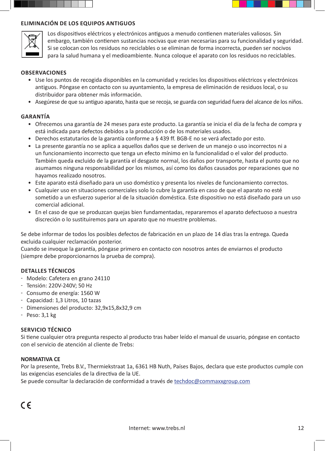



Los dispositivos eléctricos y electrónicos antiguos a menudo contienen materiales valiosos. Sin embargo, también contienen sustancias nocivas que eran necesarias para su funcionalidad y seguridad. Si se colocan con los residuos no reciclables o se eliminan de forma incorrecta, pueden ser nocivos para la salud humana y el medioambiente. Nunca coloque el aparato con los residuos no reciclables.

#### **OBSERVACIONES**

- Use los puntos de recogida disponibles en la comunidad y recicles los dispositivos eléctricos y electrónicos antiguos. Póngase en contacto con su ayuntamiento, la empresa de eliminación de residuos local, o su distribuidor para obtener más información.
- Asegúrese de que su antiguo aparato, hasta que se recoja, se guarda con seguridad fuera del alcance de los niños.

#### **GARANTÍA**

- Ofrecemos una garantía de 24 meses para este producto. La garantía se inicia el día de la fecha de compra y está indicada para defectos debidos a la producción o de los materiales usados.
- Derechos estatutarios de la garantía conforme a § 439 ff. BGB-E no se verá afectado por esto.
- La presente garantía no se aplica a aquellos daños que se deriven de un manejo o uso incorrectos ni a un funcionamiento incorrecto que tenga un efecto mínimo en la funcionalidad o el valor del producto. También queda excluido de la garantía el desgaste normal, los daños por transporte, hasta el punto que no asumamos ninguna responsabilidad por los mismos, así como los daños causados por reparaciones que no hayamos realizado nosotros.
- Este aparato está diseñado para un uso doméstico y presenta los niveles de funcionamiento correctos.
- Cualquier uso en situaciones comerciales solo lo cubre la garantía en caso de que el aparato no esté sometido a un esfuerzo superior al de la situación doméstica. Este dispositivo no está diseñado para un uso comercial adicional.
- En el caso de que se produzcan quejas bien fundamentadas, repararemos el aparato defectuoso a nuestra discreción o lo sustituiremos para un aparato que no muestre problemas.

Se debe informar de todos los posibles defectos de fabricación en un plazo de 14 días tras la entrega. Queda excluida cualquier reclamación posterior.

Cuando se invoque la garantía, póngase primero en contacto con nosotros antes de enviarnos el producto (siempre debe proporcionarnos la prueba de compra).

#### **DETALLES TÉCNICOS**

- Modelo: Cafetera en grano 24110
- Tensión: 220V-240V; 50 Hz
- Consumo de energía: 1560 W
- Capacidad: 1,3 Litros, 10 tazas
- Dimensiones del producto: 32,9x15,8x32,9 cm
- $-$  Peso:  $3,1$  kg

#### **SERVICIO TÉCNICO**

Si tiene cualquier otra pregunta respecto al producto tras haber leído el manual de usuario, póngase en contacto con el servicio de atención al cliente de Trebs:

#### **NORMATIVA CE**

Por la presente, Trebs B.V., Thermiekstraat 1a, 6361 HB Nuth, Países Bajos, declara que este productos cumple con las exigencias esenciales de la directiva de la UE.

Se puede consultar la declaración de conformidad a través de techdoc@commaxxgroup.com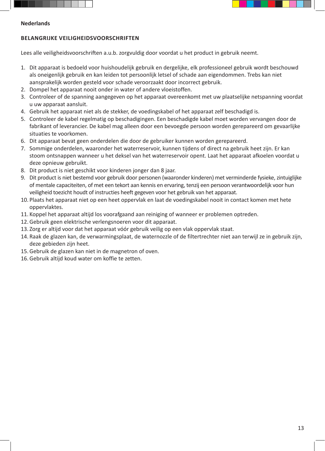



#### **Nederlands**

## **BELANGRIJKE VEILIGHEIDSVOORSCHRIFTEN**

Lees alle veiligheidsvoorschriften a.u.b. zorgvuldig door voordat u het product in gebruik neemt.

- 1. Dit apparaat is bedoeld voor huishoudelijk gebruik en dergelijke, elk professioneel gebruik wordt beschouwd als oneigenlijk gebruik en kan leiden tot persoonlijk letsel of schade aan eigendommen. Trebs kan niet aansprakelijk worden gesteld voor schade veroorzaakt door incorrect gebruik.
- 2. Dompel het apparaat nooit onder in water of andere vloeistoffen.
- 3. Controleer of de spanning aangegeven op het apparaat overeenkomt met uw plaatselijke netspanning voordat u uw apparaat aansluit.
- 4. Gebruik het apparaat niet als de stekker, de voedingskabel of het apparaat zelf beschadigd is.
- 5. Controleer de kabel regelmatig op beschadigingen. Een beschadigde kabel moet worden vervangen door de fabrikant of leverancier. De kabel mag alleen door een bevoegde persoon worden gerepareerd om gevaarlijke situaties te voorkomen.
- 6. Dit apparaat bevat geen onderdelen die door de gebruiker kunnen worden gerepareerd.
- 7. Sommige onderdelen, waaronder het waterreservoir, kunnen tijdens of direct na gebruik heet zijn. Er kan stoom ontsnappen wanneer u het deksel van het waterreservoir opent. Laat het apparaat afkoelen voordat u deze opnieuw gebruikt.
- 8. Dit product is niet geschikt voor kinderen jonger dan 8 jaar.
- 9. Dit product is niet bestemd voor gebruik door personen (waaronder kinderen) met verminderde fysieke, zintuiglijke of mentale capaciteiten, of met een tekort aan kennis en ervaring, tenzij een persoon verantwoordelijk voor hun veiligheid toezicht houdt of instructies heeft gegeven voor het gebruik van het apparaat.
- 10. Plaats het apparaat niet op een heet oppervlak en laat de voedingskabel nooit in contact komen met hete oppervlaktes.
- 11. Koppel het apparaat altijd los voorafgaand aan reiniging of wanneer er problemen optreden.
- 12.Gebruik geen elektrische verlengsnoeren voor dit apparaat.
- 13. Zorg er altijd voor dat het apparaat vóór gebruik veilig op een vlak oppervlak staat.
- 14. Raak de glazen kan, de verwarmingsplaat, de waternozzle of de filtertrechter niet aan terwijl ze in gebruik zijn, deze gebieden zijn heet.
- 15.Gebruik de glazen kan niet in de magnetron of oven.
- 16.Gebruik altijd koud water om koffie te zetten.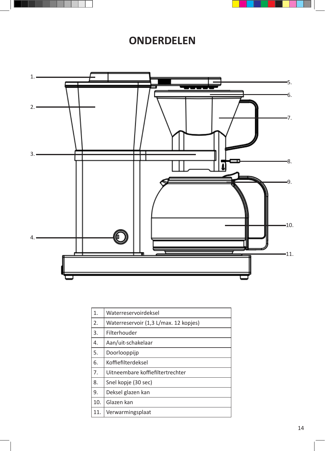



## **ONDERDELEN**



| 1.  | Waterreservoirdeksel                  |
|-----|---------------------------------------|
| 2.  | Waterreservoir (1,3 L/max. 12 kopjes) |
| 3.  | Filterhouder                          |
| 4.  | Aan/uit-schakelaar                    |
| 5.  | Doorlooppijp                          |
| 6.  | Koffiefilterdeksel                    |
| 7.  | Uitneembare koffiefiltertrechter      |
| 8.  | Snel kopje (30 sec)                   |
| 9.  | Deksel glazen kan                     |
| 10. | Glazen kan                            |
| 11. | Verwarmingsplaat                      |
|     |                                       |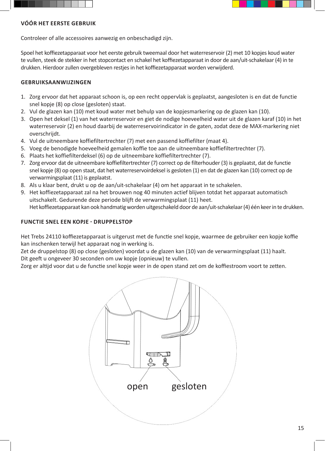



## **VÓÓR HET EERSTE GEBRUIK**

Controleer of alle accessoires aanwezig en onbeschadigd zijn.

Spoel het koffiezetapparaat voor het eerste gebruik tweemaal door het waterreservoir (2) met 10 kopjes koud water te vullen, steek de stekker in het stopcontact en schakel het koffiezetapparaat in door de aan/uit-schakelaar (4) in te drukken. Hierdoor zullen overgebleven restjes in het koffiezetapparaat worden verwijderd.

## **GEBRUIKSAANWIJZINGEN**

- 1. Zorg ervoor dat het apparaat schoon is, op een recht oppervlak is geplaatst, aangesloten is en dat de functie snel kopje (8) op close (gesloten) staat.
- 2. Vul de glazen kan (10) met koud water met behulp van de kopjesmarkering op de glazen kan (10).
- 3. Open het deksel (1) van het waterreservoir en giet de nodige hoeveelheid water uit de glazen karaf (10) in het waterreservoir (2) en houd daarbij de waterreservoirindicator in de gaten, zodat deze de MAX-markering niet overschrijdt.
- 4. Vul de uitneembare koffiefiltertrechter (7) met een passend koffiefilter (maat 4).
- 5. Voeg de benodigde hoeveelheid gemalen koffie toe aan de uitneembare koffiefiltertrechter (7).
- 6. Plaats het koffiefilterdeksel (6) op de uitneembare koffiefiltertrechter (7).
- 7. Zorg ervoor dat de uitneembare koffiefiltertrechter (7) correct op de filterhouder (3) is geplaatst, dat de functie snel kopje (8) op open staat, dat het waterreservoirdeksel is gesloten (1) en dat de glazen kan (10) correct op de verwarmingsplaat (11) is geplaatst.
- 8. Als u klaar bent, drukt u op de aan/uit-schakelaar (4) om het apparaat in te schakelen.
- 9. Het koffiezetapparaat zal na het brouwen nog 40 minuten actief blijven totdat het apparaat automatisch uitschakelt. Gedurende deze periode blijft de verwarmingsplaat (11) heet. Het koffiezetapparaat kan ook handmatig worden uitgeschakeld door de aan/uit-schakelaar (4) één keer in te drukken.

## **FUNCTIE SNEL EEN KOPJE - DRUPPELSTOP**

Het Trebs 24110 koffiezetapparaat is uitgerust met de functie snel kopje, waarmee de gebruiker een kopje koffie kan inschenken terwijl het apparaat nog in werking is.

Zet de druppelstop (8) op close (gesloten) voordat u de glazen kan (10) van de verwarmingsplaat (11) haalt. Dit geeft u ongeveer 30 seconden om uw kopje (opnieuw) te vullen.

Zorg er altijd voor dat u de functie snel kopje weer in de open stand zet om de koffiestroom voort te zetten.

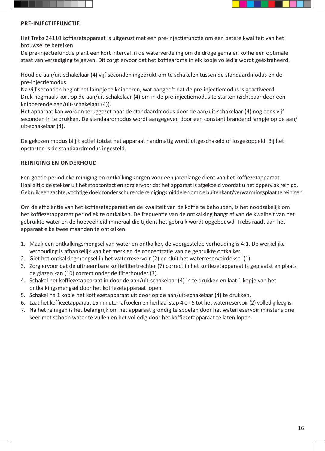



### **PRE-INJECTIEFUNCTIE**

Het Trebs 24110 koffiezetapparaat is uitgerust met een pre-injectiefunctie om een betere kwaliteit van het brouwsel te bereiken.

De pre-injectiefunctie plant een kort interval in de waterverdeling om de droge gemalen koffie een optimale staat van verzadiging te geven. Dit zorgt ervoor dat het koffiearoma in elk kopje volledig wordt geëxtraheerd.

Houd de aan/uit-schakelaar (4) vijf seconden ingedrukt om te schakelen tussen de standaardmodus en de pre-injectiemodus.

Na vijf seconden begint het lampje te knipperen, wat aangeeft dat de pre-injectiemodus is geactiveerd. Druk nogmaals kort op de aan/uit-schakelaar (4) om in de pre-injectiemodus te starten (zichtbaar door een knipperende aan/uit-schakelaar (4)).

Het apparaat kan worden teruggezet naar de standaardmodus door de aan/uit-schakelaar (4) nog eens vijf seconden in te drukken. De standaardmodus wordt aangegeven door een constant brandend lampje op de aan/ uit-schakelaar (4).

De gekozen modus blijft actief totdat het apparaat handmatig wordt uitgeschakeld of losgekoppeld. Bij het opstarten is de standaardmodus ingesteld.

## **REINIGING EN ONDERHOUD**

Een goede periodieke reiniging en ontkalking zorgen voor een jarenlange dient van het koffiezetapparaat. Haal altijd de stekker uit het stopcontact en zorg ervoor dat het apparaat is afgekoeld voordat u het oppervlak reinigd. Gebruik een zachte, vochtige doek zonder schurende reinigingsmiddelen om de buitenkant/verwarmingsplaat te reinigen.

Om de efficiëntie van het koffiezetapparaat en de kwaliteit van de koffie te behouden, is het noodzakelijk om het koffiezetapparaat periodiek te ontkalken. De frequentie van de ontkalking hangt af van de kwaliteit van het gebruikte water en de hoeveelheid mineraal die tijdens het gebruik wordt opgebouwd. Trebs raadt aan het apparaat elke twee maanden te ontkalken.

- 1. Maak een ontkalkingsmengsel van water en ontkalker, de voorgestelde verhouding is 4:1. De werkelijke verhouding is afhankelijk van het merk en de concentratie van de gebruikte ontkalker.
- 2. Giet het ontkalkingmengsel in het waterreservoir (2) en sluit het waterreservoirdeksel (1).
- 3. Zorg ervoor dat de uitneembare koffiefiltertrechter (7) correct in het koffiezetapparaat is geplaatst en plaats de glazen kan (10) correct onder de filterhouder (3).
- 4. Schakel het koffiezetapparaat in door de aan/uit-schakelaar (4) in te drukken en laat 1 kopje van het ontkalkingsmengsel door het koffiezetapparaat lopen.
- 5. Schakel na 1 kopje het koffiezetapparaat uit door op de aan/uit-schakelaar (4) te drukken.
- 6. Laat het koffiezetapparaat 15 minuten afkoelen en herhaal stap 4 en 5 tot het waterreservoir (2) volledig leeg is.
- 7. Na het reinigen is het belangrijk om het apparaat grondig te spoelen door het waterreservoir minstens drie keer met schoon water te vullen en het volledig door het koffiezetapparaat te laten lopen.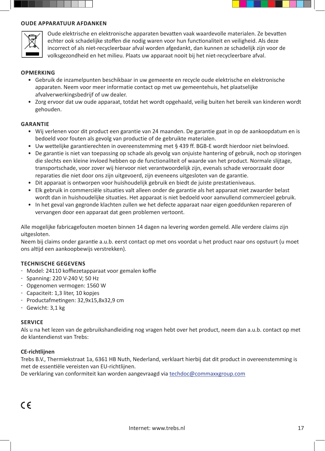



Oude elektrische en elektronische apparaten bevatten vaak waardevolle materialen. Ze bevatten echter ook schadelijke stoffen die nodig waren voor hun functionaliteit en veiligheid. Als deze incorrect of als niet-recycleerbaar afval worden afgedankt, dan kunnen ze schadelijk zijn voor de volksgezondheid en het milieu. Plaats uw apparaat nooit bij het niet-recycleerbare afval.

#### **OPMERKING**

- Gebruik de inzamelpunten beschikbaar in uw gemeente en recycle oude elektrische en elektronische apparaten. Neem voor meer informatie contact op met uw gemeentehuis, het plaatselijke afvalverwerkingsbedrijf of uw dealer.
- Zorg ervoor dat uw oude apparaat, totdat het wordt opgehaald, veilig buiten het bereik van kinderen wordt gehouden.

#### **GARANTIE**

- Wij verlenen voor dit product een garantie van 24 maanden. De garantie gaat in op de aankoopdatum en is bedoeld voor fouten als gevolg van productie of de gebruikte materialen.
- Uw wettelijke garantierechten in overeenstemming met § 439 ff. BGB-E wordt hierdoor niet beïnvloed.
- De garantie is niet van toepassing op schade als gevolg van onjuiste hantering of gebruik, noch op storingen die slechts een kleine invloed hebben op de functionaliteit of waarde van het product. Normale slijtage, transportschade, voor zover wij hiervoor niet verantwoordelijk zijn, evenals schade veroorzaakt door reparaties die niet door ons zijn uitgevoerd, zijn eveneens uitgesloten van de garantie.
- Dit apparaat is ontworpen voor huishoudelijk gebruik en biedt de juiste prestatieniveaus.
- Elk gebruik in commerciële situaties valt alleen onder de garantie als het apparaat niet zwaarder belast wordt dan in huishoudelijke situaties. Het apparaat is niet bedoeld voor aanvullend commercieel gebruik.
- In het geval van gegronde klachten zullen we het defecte apparaat naar eigen goeddunken repareren of vervangen door een apparaat dat geen problemen vertoont.

Alle mogelijke fabricagefouten moeten binnen 14 dagen na levering worden gemeld. Alle verdere claims zijn uitgesloten.

Neem bij claims onder garantie a.u.b. eerst contact op met ons voordat u het product naar ons opstuurt (u moet ons altijd een aankoopbewijs verstrekken).

#### **TECHNISCHE GEGEVENS**

- Model: 24110 koffiezetapparaat voor gemalen koffie
- Spanning: 220 V-240 V; 50 Hz
- Opgenomen vermogen: 1560 W
- Capaciteit: 1,3 liter, 10 kopjes
- Productafmetingen: 32,9x15,8x32,9 cm
- Gewicht: 3,1 kg

#### **SERVICE**

Als u na het lezen van de gebruikshandleiding nog vragen hebt over het product, neem dan a.u.b. contact op met de klantendienst van Trebs:

#### **CE-richtlijnen**

Trebs B.V., Thermiekstraat 1a, 6361 HB Nuth, Nederland, verklaart hierbij dat dit product in overeenstemming is met de essentiële vereisten van EU-richtlijnen.

De verklaring van conformiteit kan worden aangevraagd via techdoc@commaxxgroup.com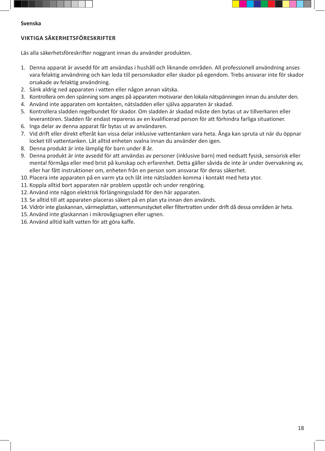



#### **Svenska**

#### **VIKTIGA SÄKERHETSFÖRESKRIFTER**

Läs alla säkerhetsföreskrifter noggrant innan du använder produkten.

- 1. Denna apparat är avsedd för att användas i hushåll och liknande områden. All professionell användning anses vara felaktig användning och kan leda till personskador eller skador på egendom. Trebs ansvarar inte för skador orsakade av felaktig användning.
- 2. Sänk aldrig ned apparaten i vatten eller någon annan vätska.
- 3. Kontrollera om den spänning som anges på apparaten motsvarar den lokala nätspänningen innan du ansluter den.
- 4. Använd inte apparaten om kontakten, nätsladden eller själva apparaten är skadad.
- 5. Kontrollera sladden regelbundet för skador. Om sladden är skadad måste den bytas ut av tillverkaren eller leverantören. Sladden får endast repareras av en kvalificerad person för att förhindra farliga situationer.
- 6. Inga delar av denna apparat får bytas ut av användaren.
- 7. Vid drift eller direkt efteråt kan vissa delar inklusive vattentanken vara heta. Ånga kan spruta ut när du öppnar locket till vattentanken. Låt alltid enheten svalna innan du använder den igen.
- 8. Denna produkt är inte lämplig för barn under 8 år.
- 9. Denna produkt är inte avsedd för att användas av personer (inklusive barn) med nedsatt fysisk, sensorisk eller mental förmåga eller med brist på kunskap och erfarenhet. Detta gäller såvida de inte är under övervakning av, eller har fått instruktioner om, enheten från en person som ansvarar för deras säkerhet.
- 10. Placera inte apparaten på en varm yta och låt inte nätsladden komma i kontakt med heta ytor.
- 11. Koppla alltid bort apparaten när problem uppstår och under rengöring.
- 12. Använd inte någon elektrisk förlängningssladd för den här apparaten.
- 13. Se alltid till att apparaten placeras säkert på en plan yta innan den används.
- 14. Vidrör inte glaskannan, värmeplattan, vattenmunstycket eller filtertratten under drift då dessa områden är heta.
- 15. Använd inte glaskannan i mikrovågsugnen eller ugnen.
- 16. Använd alltid kallt vatten för att göra kaffe.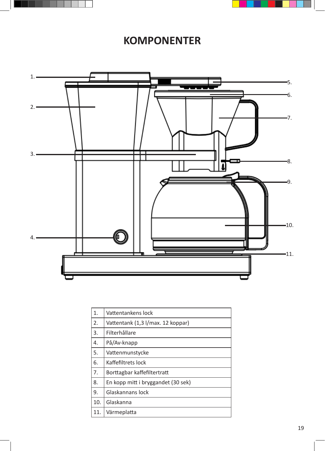



## **KOMPONENTER**



| 1.  | Vattentankens lock                 |
|-----|------------------------------------|
| 2.  | Vattentank (1,3 l/max. 12 koppar)  |
| 3.  | Filterhållare                      |
| 4.  | På/Av-knapp                        |
| 5.  | Vattenmunstycke                    |
| 6.  | Kaffefiltrets lock                 |
| 7.  | Borttagbar kaffefiltertratt        |
| 8.  | En kopp mitt i bryggandet (30 sek) |
| 9.  | Glaskannans lock                   |
| 10. | Glaskanna                          |
| 11. | Värmeplatta                        |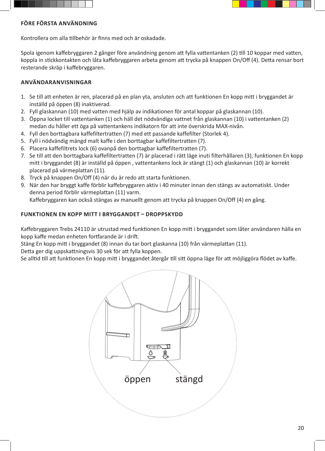



#### **FÖRE FÖRSTA ANVÄNDNING**

Kontrollera om alla tillbehör är finns med och är oskadade.

Spola igenom kaffebryggaren 2 gånger före användning genom att fylla vattentanken (2) till 10 koppar med vatten, koppla in stickkontakten och låta kaffebryggaren arbeta genom att trycka på knappen On/Off (4). Detta rensar bort resterande skräp i kaffebryggaren.

## **ANVÄNDARANVISNINGAR**

- 1. Se till att enheten är ren, placerad på en plan yta, ansluten och att funktionen En kopp mitt i bryggandet är inställd på öppen (8) inaktiverad.
- 2. Fyll glaskannan (10) med vatten med hjälp av indikationen för antal koppar på glaskannan (10).
- 3. Öppna locket till vattentanken (1) och häll det nödvändiga vattnet från glaskannan (10) i vattentanken (2) medan du håller ett öga på vattentankens indikatorn för att inte överskrida MAX-nivån.
- 4. Fyll den borttagbara kaffefiltertratten (7) med ett passande kaffefilter (Storlek 4).
- 5. Fyll i nödvändig mängd malt kaffe i den borttagbar kaffefiltertratten (7).
- 6. Placera kaffefiltrets lock (6) ovanpå den borttagbar kaffefiltertratten (7).
- 7. Se till att den borttagbara kaffefiltertratten (7) är placerad i rätt läge inuti filterhållaren (3), funktionen En kopp mitt i bryggandet (8) är inställd på öppen , vattentankens lock är stängt (1) och glaskannan (10) är korrekt placerad på värmeplattan (11).
- 8. Tryck på knappen On/Off (4) när du är redo att starta funktionen.
- 9. När den har bryggt kaffe förblir kaffebryggaren aktiv i 40 minuter innan den stängs av automatiskt. Under denna period förblir värmeplattan (11) varm.

Kaffebryggaren kan också stängas av manuellt genom att trycka på knappen On/Off (4) en gång.

## **FUNKTIONEN EN KOPP MITT I BRYGGANDET – DROPPSKYDD**

Kaffebryggaren Trebs 24110 är utrustad med funktionen En kopp mitt i bryggandet som låter användaren hälla en kopp kaffe medan enheten fortfarande är i drift.

Stäng En kopp mitt i bryggandet (8) innan du tar bort glaskanna (10) från värmeplattan (11).

Detta ger dig uppskattningsvis 30 sek för att fylla koppen.

Se alltid till att funktionen En kopp mitt i bryggandet återgår till sitt öppna läge för att möjliggöra flödet av kaffe.

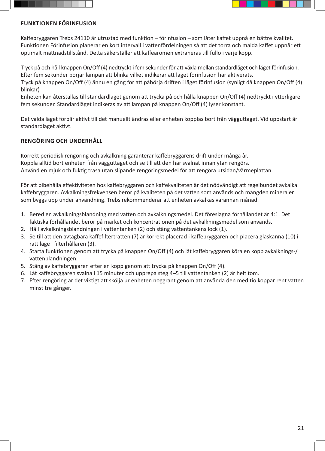



### **FUNKTIONEN FÖRINFUSION**

Kaffebryggaren Trebs 24110 är utrustad med funktion – förinfusion – som låter kaffet uppnå en bättre kvalitet. Funktionen Förinfusion planerar en kort intervall i vattenfördelningen så att det torra och malda kaffet uppnår ett optimalt mättnadstillstånd. Detta säkerställer att kaffearomen extraheras till fullo i varje kopp.

Tryck på och håll knappen On/Off (4) nedtryckt i fem sekunder för att växla mellan standardläget och läget förinfusion. Efter fem sekunder börjar lampan att blinka vilket indikerar att läget förinfusion har aktiverats.

Tryck på knappen On/Off (4) ännu en gång för att påbörja driften i läget förinfusion (synligt då knappen On/Off (4) blinkar)

Enheten kan återställas till standardläget genom att trycka på och hålla knappen On/Off (4) nedtryckt i ytterligare fem sekunder. Standardläget indikeras av att lampan på knappen On/Off (4) lyser konstant.

Det valda läget förblir aktivt till det manuellt ändras eller enheten kopplas bort från vägguttaget. Vid uppstart är standardläget aktivt.

## **RENGÖRING OCH UNDERHÅLL**

Korrekt periodisk rengöring och avkalkning garanterar kaffebryggarens drift under många år. Koppla alltid bort enheten från vägguttaget och se till att den har svalnat innan ytan rengörs. Använd en mjuk och fuktig trasa utan slipande rengöringsmedel för att rengöra utsidan/värmeplattan.

För att bibehålla effektiviteten hos kaffebryggaren och kaffekvaliteten är det nödvändigt att regelbundet avkalka kaffebryggaren. Avkalkningsfrekvensen beror på kvaliteten på det vatten som används och mängden mineraler som byggs upp under användning. Trebs rekommenderar att enheten avkalkas varannan månad.

- 1. Bered en avkalkningsblandning med vatten och avkalkningsmedel. Det föreslagna förhållandet är 4:1. Det faktiska förhållandet beror på märket och koncentrationen på det avkalkningsmedel som används.
- 2. Häll avkalkningsblandningen i vattentanken (2) och stäng vattentankens lock (1).
- 3. Se till att den avtagbara kaffefiltertratten (7) är korrekt placerad i kaffebryggaren och placera glaskanna (10) i rätt läge i filterhållaren (3).
- 4. Starta funktionen genom att trycka på knappen On/Off (4) och låt kaffebryggaren köra en kopp avkalknings-/ vattenblandningen.
- 5. Stäng av kaffebryggaren efter en kopp genom att trycka på knappen On/Off (4).
- 6. Låt kaffebryggaren svalna i 15 minuter och upprepa steg 4–5 till vattentanken (2) är helt tom.
- 7. Efter rengöring är det viktigt att skölja ur enheten noggrant genom att använda den med tio koppar rent vatten minst tre gånger.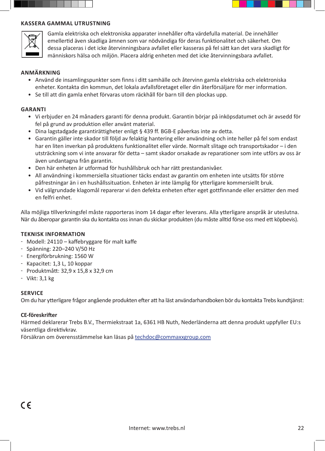



Gamla elektriska och elektroniska apparater innehåller ofta värdefulla material. De innehåller emellertid även skadliga ämnen som var nödvändiga för deras funktionalitet och säkerhet. Om dessa placeras i det icke återvinningsbara avfallet eller kasseras på fel sätt kan det vara skadligt för människors hälsa och miljön. Placera aldrig enheten med det icke återvinningsbara avfallet.

#### **ANMÄRKNING**

- Använd de insamlingspunkter som finns i ditt samhälle och återvinn gamla elektriska och elektroniska enheter. Kontakta din kommun, det lokala avfallsföretaget eller din återförsäljare för mer information.
- Se till att din gamla enhet förvaras utom räckhåll för barn till den plockas upp.

#### **GARANTI**

- Vi erbjuder en 24 månaders garanti för denna produkt. Garantin börjar på inköpsdatumet och är avsedd för fel på grund av produktion eller använt material.
- Dina lagstadgade garantirättigheter enligt § 439 ff. BGB-E påverkas inte av detta.
- Garantin gäller inte skador till följd av felaktig hantering eller användning och inte heller på fel som endast har en liten inverkan på produktens funktionalitet eller värde. Normalt slitage och transportskador – i den utsträckning som vi inte ansvarar för detta – samt skador orsakade av reparationer som inte utförs av oss är även undantagna från garantin.
- Den här enheten är utformad för hushållsbruk och har rätt prestandanivåer.
- All användning i kommersiella situationer täcks endast av garantin om enheten inte utsätts för större påfrestningar än i en hushållssituation. Enheten är inte lämplig för ytterligare kommersiellt bruk.
- Vid välgrundade klagomål reparerar vi den defekta enheten efter eget gottfinnande eller ersätter den med en felfri enhet.

Alla möjliga tillverkningsfel måste rapporteras inom 14 dagar efter leverans. Alla ytterligare anspråk är uteslutna. När du åberopar garantin ska du kontakta oss innan du skickar produkten (du måste alltid förse oss med ett köpbevis).

#### **TEKNISK INFORMATION**

- Modell: 24110 kaffebryggare för malt kaffe
- Spänning: 220–240 V/50 Hz
- Energiförbrukning: 1560 W
- Kapacitet: 1,3 L, 10 koppar
- Produktmått: 32,9 x 15,8 x 32,9 cm
- Vikt: 3,1 kg

#### **SERVICE**

Om du har ytterligare frågor angående produkten efter att ha läst användarhandboken bör du kontakta Trebs kundtjänst:

#### **CE-föreskrifter**

Härmed deklarerar Trebs B.V., Thermiekstraat 1a, 6361 HB Nuth, Nederländerna att denna produkt uppfyller EU:s väsentliga direktivkrav.

Försäkran om överensstämmelse kan läsas på techdoc@commaxxgroup.com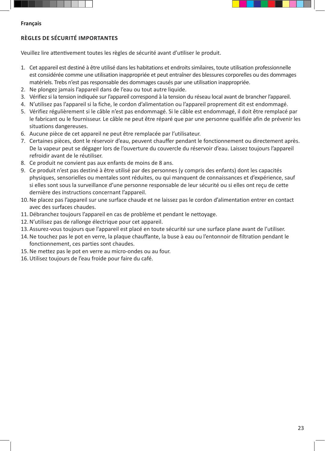



## **Français**

## **RÈGLES DE SÉCURITÉ IMPORTANTES**

Veuillez lire attentivement toutes les règles de sécurité avant d'utiliser le produit.

- 1. Cet appareil est destiné à être utilisé dans les habitations et endroits similaires, toute utilisation professionnelle est considérée comme une utilisation inappropriée et peut entraîner des blessures corporelles ou des dommages matériels. Trebs n'est pas responsable des dommages causés par une utilisation inappropriée.
- 2. Ne plongez jamais l'appareil dans de l'eau ou tout autre liquide.
- 3. Vérifiez si la tension indiquée sur l'appareil correspond à la tension du réseau local avant de brancher l'appareil.
- 4. N'utilisez pas l'appareil si la fiche, le cordon d'alimentation ou l'appareil proprement dit est endommagé.
- 5. Vérifiez régulièrement si le câble n'est pas endommagé. Si le câble est endommagé, il doit être remplacé par le fabricant ou le fournisseur. Le câble ne peut être réparé que par une personne qualifiée afin de prévenir les situations dangereuses.
- 6. Aucune pièce de cet appareil ne peut être remplacée par l'utilisateur.
- 7. Certaines pièces, dont le réservoir d'eau, peuvent chauffer pendant le fonctionnement ou directement après. De la vapeur peut se dégager lors de l'ouverture du couvercle du réservoir d'eau. Laissez toujours l'appareil refroidir avant de le réutiliser.
- 8. Ce produit ne convient pas aux enfants de moins de 8 ans.
- 9. Ce produit n'est pas destiné à être utilisé par des personnes (y compris des enfants) dont les capacités physiques, sensorielles ou mentales sont réduites, ou qui manquent de connaissances et d'expérience, sauf si elles sont sous la surveillance d'une personne responsable de leur sécurité ou si elles ont reçu de cette dernière des instructions concernant l'appareil.
- 10.Ne placez pas l'appareil sur une surface chaude et ne laissez pas le cordon d'alimentation entrer en contact avec des surfaces chaudes.
- 11.Débranchez toujours l'appareil en cas de problème et pendant le nettoyage.
- 12.N'utilisez pas de rallonge électrique pour cet appareil.
- 13. Assurez-vous toujours que l'appareil est placé en toute sécurité sur une surface plane avant de l'utiliser.
- 14.Ne touchez pas le pot en verre, la plaque chauffante, la buse à eau ou l'entonnoir de filtration pendant le fonctionnement, ces parties sont chaudes.
- 15.Ne mettez pas le pot en verre au micro-ondes ou au four.
- 16.Utilisez toujours de l'eau froide pour faire du café.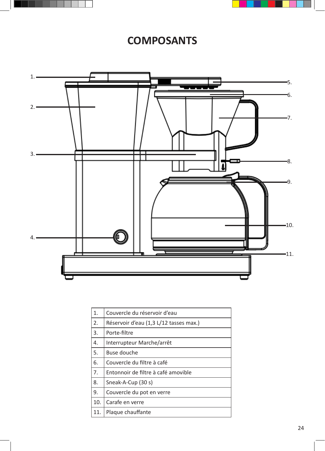



## **COMPOSANTS**



| 1.  | Couvercle du réservoir d'eau           |
|-----|----------------------------------------|
| 2.  | Réservoir d'eau (1,3 L/12 tasses max.) |
| 3.  | Porte-filtre                           |
| 4.  | Interrupteur Marche/arrêt              |
| 5.  | Buse douche                            |
| 6.  | Couvercle du filtre à café             |
| 7.  | Entonnoir de filtre à café amovible    |
| 8.  | Sneak-A-Cup (30 s)                     |
| 9.  | Couvercle du pot en verre              |
| 10. | Carafe en verre                        |
| 11. | Plaque chauffante                      |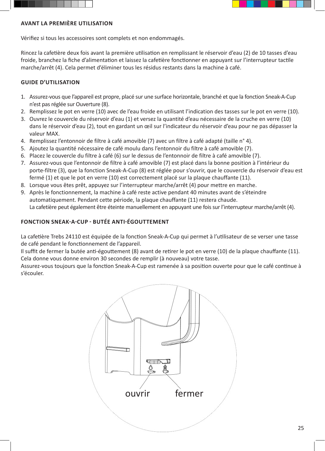



#### **AVANT LA PREMIÈRE UTILISATION**

Vérifiez si tous les accessoires sont complets et non endommagés.

Rincez la cafetière deux fois avant la première utilisation en remplissant le réservoir d'eau (2) de 10 tasses d'eau froide, branchez la fiche d'alimentation et laissez la cafetière fonctionner en appuyant sur l'interrupteur tactile marche/arrêt (4). Cela permet d'éliminer tous les résidus restants dans la machine à café.

#### **GUIDE D'UTILISATION**

- 1. Assurez-vous que l'appareil est propre, placé sur une surface horizontale, branché et que la fonction Sneak-A-Cup n'est pas réglée sur Ouverture (8).
- 2. Remplissez le pot en verre (10) avec de l'eau froide en utilisant l'indication des tasses sur le pot en verre (10).
- 3. Ouvrez le couvercle du réservoir d'eau (1) et versez la quantité d'eau nécessaire de la cruche en verre (10) dans le réservoir d'eau (2), tout en gardant un œil sur l'indicateur du réservoir d'eau pour ne pas dépasser la valeur MAX.
- 4. Remplissez l'entonnoir de filtre à café amovible (7) avec un filtre à café adapté (taille n° 4).
- 5. Ajoutez la quantité nécessaire de café moulu dans l'entonnoir du filtre à café amovible (7).
- 6. Placez le couvercle du filtre à café (6) sur le dessus de l'entonnoir de filtre à café amovible (7).
- 7. Assurez-vous que l'entonnoir de filtre à café amovible (7) est placé dans la bonne position à l'intérieur du porte-filtre (3), que la fonction Sneak-A-Cup (8) est réglée pour s'ouvrir, que le couvercle du réservoir d'eau est fermé (1) et que le pot en verre (10) est correctement placé sur la plaque chauffante (11).
- 8. Lorsque vous êtes prêt, appuyez sur l'interrupteur marche/arrêt (4) pour mettre en marche.
- 9. Après le fonctionnement, la machine à café reste active pendant 40 minutes avant de s'éteindre automatiquement. Pendant cette période, la plaque chauffante (11) restera chaude. La cafetière peut également être éteinte manuellement en appuyant une fois sur l'interrupteur marche/arrêt (4).

#### **FONCTION SNEAK-A-CUP - BUTÉE ANTI-ÉGOUTTEMENT**

La cafetière Trebs 24110 est équipée de la fonction Sneak-A-Cup qui permet à l'utilisateur de se verser une tasse de café pendant le fonctionnement de l'appareil.

Il suffit de fermer la butée anti-égouttement (8) avant de retirer le pot en verre (10) de la plaque chauffante (11). Cela donne vous donne environ 30 secondes de remplir (à nouveau) votre tasse.

Assurez-vous toujours que la fonction Sneak-A-Cup est ramenée à sa position ouverte pour que le café continue à s'écouler.

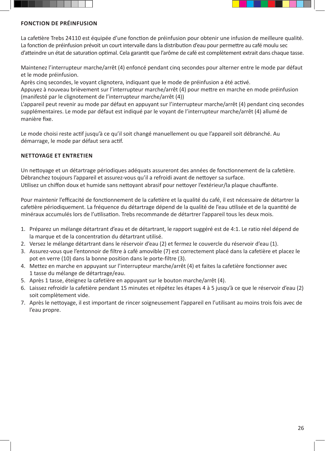



## **FONCTION DE PRÉINFUSION**

La cafetière Trebs 24110 est équipée d'une fonction de préinfusion pour obtenir une infusion de meilleure qualité. La fonction de préinfusion prévoit un court intervalle dans la distribution d'eau pour permettre au café moulu sec d'atteindre un état de saturation optimal. Cela garantit que l'arôme de café est complètement extrait dans chaque tasse.

Maintenez l'interrupteur marche/arrêt (4) enfoncé pendant cinq secondes pour alterner entre le mode par défaut et le mode préinfusion.

Après cinq secondes, le voyant clignotera, indiquant que le mode de préinfusion a été activé.

Appuyez à nouveau brièvement sur l'interrupteur marche/arrêt (4) pour mettre en marche en mode préinfusion (manifesté par le clignotement de l'interrupteur marche/arrêt (4))

L'appareil peut revenir au mode par défaut en appuyant sur l'interrupteur marche/arrêt (4) pendant cinq secondes supplémentaires. Le mode par défaut est indiqué par le voyant de l'interrupteur marche/arrêt (4) allumé de manière fixe.

Le mode choisi reste actif jusqu'à ce qu'il soit changé manuellement ou que l'appareil soit débranché. Au démarrage, le mode par défaut sera actif.

## **NETTOYAGE ET ENTRETIEN**

Un nettoyage et un détartrage périodiques adéquats assureront des années de fonctionnement de la cafetière. Débranchez toujours l'appareil et assurez-vous qu'il a refroidi avant de nettoyer sa surface. Utilisez un chiffon doux et humide sans nettoyant abrasif pour nettoyer l'extérieur/la plaque chauffante.

Pour maintenir l'efficacité de fonctionnement de la cafetière et la qualité du café, il est nécessaire de détartrer la cafetière périodiquement. La fréquence du détartrage dépend de la qualité de l'eau utilisée et de la quantité de minéraux accumulés lors de l'utilisation. Trebs recommande de détartrer l'appareil tous les deux mois.

- 1. Préparez un mélange détartrant d'eau et de détartrant, le rapport suggéré est de 4:1. Le ratio réel dépend de la marque et de la concentration du détartrant utilisé.
- 2. Versez le mélange détartrant dans le réservoir d'eau (2) et fermez le couvercle du réservoir d'eau (1).
- 3. Assurez-vous que l'entonnoir de filtre à café amovible (7) est correctement placé dans la cafetière et placez le pot en verre (10) dans la bonne position dans le porte-filtre (3).
- 4. Mettez en marche en appuyant sur l'interrupteur marche/arrêt (4) et faites la cafetière fonctionner avec 1 tasse du mélange de détartrage/eau.
- 5. Après 1 tasse, éteignez la cafetière en appuyant sur le bouton marche/arrêt (4).
- 6. Laissez refroidir la cafetière pendant 15 minutes et répétez les étapes 4 à 5 jusqu'à ce que le réservoir d'eau (2) soit complètement vide.
- 7. Après le nettoyage, il est important de rincer soigneusement l'appareil en l'utilisant au moins trois fois avec de l'eau propre.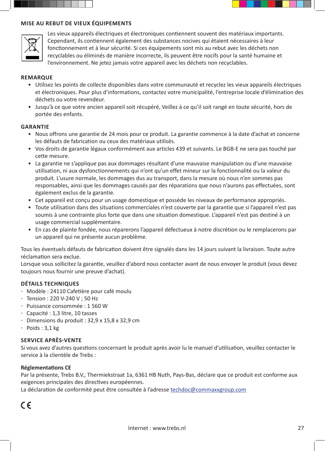



Les vieux appareils électriques et électroniques contiennent souvent des matériaux importants. Cependant, ils contiennent également des substances nocives qui étaient nécessaires à leur fonctionnement et à leur sécurité. Si ces équipements sont mis au rebut avec les déchets non recyclables ou éliminés de manière incorrecte, ils peuvent être nocifs pour la santé humaine et l'environnement. Ne jetez jamais votre appareil avec les déchets non recyclables.

#### **REMARQUE**

- Utilisez les points de collecte disponibles dans votre communauté et recyclez les vieux appareils électriques et électroniques. Pour plus d'informations, contactez votre municipalité, l'entreprise locale d'élimination des déchets ou votre revendeur.
- Jusqu'à ce que votre ancien appareil soit récupéré, Veillez à ce qu'il soit rangé en toute sécurité, hors de portée des enfants.

#### **GARANTIE**

- Nous offrons une garantie de 24 mois pour ce produit. La garantie commence à la date d'achat et concerne les défauts de fabrication ou ceux des matériaux utilisés.
- Vos droits de garantie légaux conformément aux articles 439 et suivants. Le BGB-E ne sera pas touché par cette mesure.
- La garantie ne s'applique pas aux dommages résultant d'une mauvaise manipulation ou d'une mauvaise utilisation, ni aux dysfonctionnements qui n'ont qu'un effet mineur sur la fonctionnalité ou la valeur du produit. L'usure normale, les dommages dus au transport, dans la mesure où nous n'en sommes pas responsables, ainsi que les dommages causés par des réparations que nous n'aurons pas effectuées, sont également exclus de la garantie.
- Cet appareil est conçu pour un usage domestique et possède les niveaux de performance appropriés.
- Toute utilisation dans des situations commerciales n'est couverte par la garantie que si l'appareil n'est pas soumis à une contrainte plus forte que dans une situation domestique. L'appareil n'est pas destiné à un usage commercial supplémentaire.
- En cas de plainte fondée, nous réparerons l'appareil défectueux à notre discrétion ou le remplacerons par un appareil qui ne présente aucun problème.

Tous les éventuels défauts de fabrication doivent être signalés dans les 14 jours suivant la livraison. Toute autre réclamation sera exclue.

Lorsque vous sollicitez la garantie, veuillez d'abord nous contacter avant de nous envoyer le produit (vous devez toujours nous fournir une preuve d'achat).

#### **DÉTAILS TECHNIQUES**

- Modèle : 24110 Cafetière pour café moulu
- Tension : 220 V-240 V ; 50 Hz
- Puissance consommée : 1 560 W
- Capacité : 1,3 litre, 10 tasses
- $-$  Dimensions du produit : 32,9 x 15,8 x 32,9 cm
- $-$  Poids : 3,1 kg

#### **SERVICE APRÈS-VENTE**

Si vous avez d'autres questions concernant le produit après avoir lu le manuel d'utilisation, veuillez contacter le service à la clientèle de Trebs :

#### **Réglementations CE**

Par la présente, Trebs B.V., Thermiekstraat 1a, 6361 HB Nuth, Pays-Bas, déclare que ce produit est conforme aux exigences principales des directives européennes.

La déclaration de conformité peut être consultée à l'adresse techdoc@commaxxgroup.com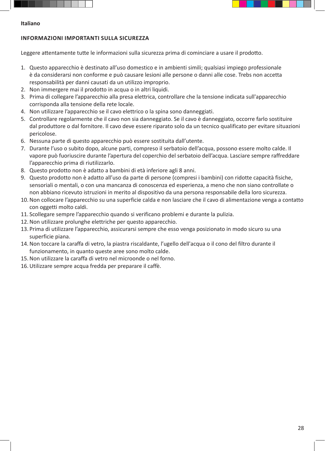



#### **Italiano**

## **INFORMAZIONI IMPORTANTI SULLA SICUREZZA**

Leggere attentamente tutte le informazioni sulla sicurezza prima di cominciare a usare il prodotto.

- 1. Questo apparecchio è destinato all'uso domestico e in ambienti simili; qualsiasi impiego professionale è da considerarsi non conforme e può causare lesioni alle persone o danni alle cose. Trebs non accetta responsabilità per danni causati da un utilizzo improprio.
- 2. Non immergere mai il prodotto in acqua o in altri liquidi.
- 3. Prima di collegare l'apparecchio alla presa elettrica, controllare che la tensione indicata sull'apparecchio corrisponda alla tensione della rete locale.
- 4. Non utilizzare l'apparecchio se il cavo elettrico o la spina sono danneggiati.
- 5. Controllare regolarmente che il cavo non sia danneggiato. Se il cavo è danneggiato, occorre farlo sostituire dal produttore o dal fornitore. Il cavo deve essere riparato solo da un tecnico qualificato per evitare situazioni pericolose.
- 6. Nessuna parte di questo apparecchio può essere sostituita dall'utente.
- 7. Durante l'uso o subito dopo, alcune parti, compreso il serbatoio dell'acqua, possono essere molto calde. Il vapore può fuoriuscire durante l'apertura del coperchio del serbatoio dell'acqua. Lasciare sempre raffreddare l'apparecchio prima di riutilizzarlo.
- 8. Questo prodotto non è adatto a bambini di età inferiore agli 8 anni.
- 9. Questo prodotto non è adatto all'uso da parte di persone (compresi i bambini) con ridotte capacità fisiche, sensoriali o mentali, o con una mancanza di conoscenza ed esperienza, a meno che non siano controllate o non abbiano ricevuto istruzioni in merito al dispositivo da una persona responsabile della loro sicurezza.
- 10.Non collocare l'apparecchio su una superficie calda e non lasciare che il cavo di alimentazione venga a contatto con oggetti molto caldi.
- 11. Scollegare sempre l'apparecchio quando si verificano problemi e durante la pulizia.
- 12.Non utilizzare prolunghe elettriche per questo apparecchio.
- 13. Prima di utilizzare l'apparecchio, assicurarsi sempre che esso venga posizionato in modo sicuro su una superficie piana.
- 14.Non toccare la caraffa di vetro, la piastra riscaldante, l'ugello dell'acqua o il cono del filtro durante il funzionamento, in quanto queste aree sono molto calde.
- 15.Non utilizzare la caraffa di vetro nel microonde o nel forno.
- 16.Utilizzare sempre acqua fredda per preparare il caffè.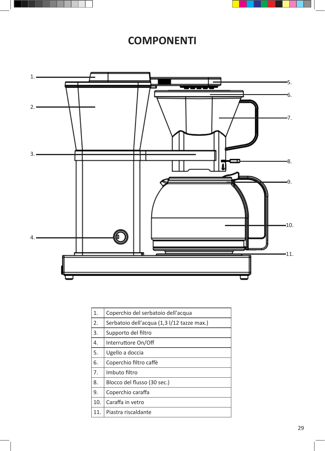



## **COMPONENTI**



| 1.  | Coperchio del serbatoio dell'acqua         |
|-----|--------------------------------------------|
| 2.  | Serbatoio dell'acqua (1,3 l/12 tazze max.) |
| 3.  | Supporto del filtro                        |
| 4.  | Interruttore On/Off                        |
| 5.  | Ugello a doccia                            |
| 6.  | Coperchio filtro caffè                     |
| 7.  | Imbuto filtro                              |
| 8.  | Blocco del flusso (30 sec.)                |
| 9.  | Coperchio caraffa                          |
| 10. | Caraffa in vetro                           |
| 11. | Piastra riscaldante                        |
|     |                                            |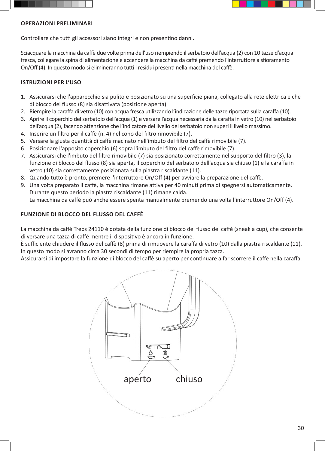



### **OPERAZIONI PRELIMINARI**

Controllare che tutti gli accessori siano integri e non presentino danni.

Sciacquare la macchina da caffè due volte prima dell'uso riempiendo il serbatoio dell'acqua (2) con 10 tazze d'acqua fresca, collegare la spina di alimentazione e accendere la macchina da caffè premendo l'interruttore a sfioramento On/Off (4). In questo modo si elimineranno tutti i residui presenti nella macchina del caffè.

## **ISTRUZIONI PER L'USO**

- 1. Assicurarsi che l'apparecchio sia pulito e posizionato su una superficie piana, collegato alla rete elettrica e che di blocco del flusso (8) sia disattivata (posizione aperta).
- 2. Riempire la caraffa di vetro (10) con acqua fresca utilizzando l'indicazione delle tazze riportata sulla caraffa (10).
- 3. Aprire il coperchio del serbatoio dell'acqua (1) e versare l'acqua necessaria dalla caraffa in vetro (10) nel serbatoio dell'acqua (2), facendo attenzione che l'indicatore del livello del serbatoio non superi il livello massimo.
- 4. Inserire un filtro per il caffè (n. 4) nel cono del filtro rimovibile (7).
- 5. Versare la giusta quantità di caffè macinato nell'imbuto del filtro del caffè rimovibile (7).
- 6. Posizionare l'apposito coperchio (6) sopra l'imbuto del filtro del caffè rimovibile (7).
- 7. Assicurarsi che l'imbuto del filtro rimovibile (7) sia posizionato correttamente nel supporto del filtro (3), la funzione di blocco del flusso (8) sia aperta, il coperchio del serbatoio dell'acqua sia chiuso (1) e la caraffa in vetro (10) sia correttamente posizionata sulla piastra riscaldante (11).
- 8. Quando tutto è pronto, premere l'interruttore On/Off (4) per avviare la preparazione del caffè.
- 9. Una volta preparato il caffè, la macchina rimane attiva per 40 minuti prima di spegnersi automaticamente. Durante questo periodo la piastra riscaldante (11) rimane calda. La macchina da caffè può anche essere spenta manualmente premendo una volta l'interruttore On/Off (4).

## **FUNZIONE DI BLOCCO DEL FLUSSO DEL CAFFÈ**

La macchina da caffè Trebs 24110 è dotata della funzione di blocco del flusso del caffè (sneak a cup), che consente di versare una tazza di caffè mentre il dispositivo è ancora in funzione.

È sufficiente chiudere il flusso del caffè (8) prima di rimuovere la caraffa di vetro (10) dalla piastra riscaldante (11). In questo modo si avranno circa 30 secondi di tempo per riempire la propria tazza.

Assicurarsi di impostare la funzione di blocco del caffè su aperto per continuare a far scorrere il caffè nella caraffa.

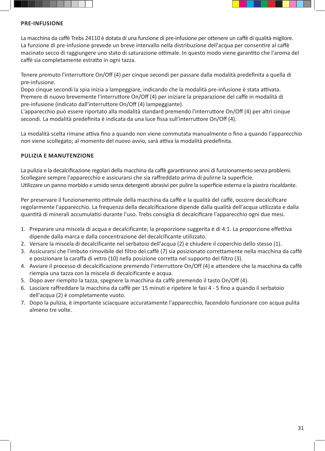



#### **PRE-INFUSIONE**

La macchina da caffè Trebs 24110 è dotata di una funzione di pre-infusione per ottenere un caffè di qualità migliore. La funzione di pre-infusione prevede un breve intervallo nella distribuzione dell'acqua per consentire al caffè macinato secco di raggiungere uno stato di saturazione ottimale. In questo modo viene garantito che l'aroma del caffè sia completamente estratto in ogni tazza.

Tenere premuto l'interruttore On/Off (4) per cinque secondi per passare dalla modalità predefinita a quella di pre-infusione.

Dopo cinque secondi la spia inizia a lampeggiare, indicando che la modalità pre-infusione è stata attivata. Premere di nuovo brevemente l'interruttore On/Off (4) per iniziare la preparazione del caffè in modalità di pre-infusione (indicato dall'interruttore On/Off (4) lampeggiante).

L'apparecchio può essere riportato alla modalità standard premendo l'interruttore On/Off (4) per altri cinque secondi. La modalità predefinita è indicata da una luce fissa sull'interruttore On/Off (4).

La modalità scelta rimane attiva fino a quando non viene commutata manualmente o fino a quando l'apparecchio non viene scollegato; al momento del nuovo avvio, sarà attiva la modalità predefinita.

#### **PULIZIA E MANUTENZIONE**

La pulizia e la decalcificazione regolari della macchina da caffè garantiranno anni di funzionamento senza problemi. Scollegare sempre l'apparecchio e assicurarsi che sia raffreddato prima di pulirne la superficie. Utilizzare un panno morbido e umido senza detergenti abrasivi per pulire la superficie esterna e la piastra riscaldante.

Per preservare il funzionamento ottimale della macchina da caffè e la qualità del caffè, occorre decalcificare regolarmente l'apparecchio. La frequenza della decalcificazione dipende dalla qualità dell'acqua utilizzata e dalla quantità di minerali accumulatisi durante l'uso. Trebs consiglia di decalcificare l'apparecchio ogni due mesi.

- 1. Preparare una miscela di acqua e decalcificante; la proporzione suggerita è di 4:1. La proporzione effettiva dipende dalla marca e dalla concentrazione del decalcificante utilizzato.
- 2. Versare la miscela di decalcificante nel serbatoio dell'acqua (2) e chiudere il coperchio dello stesso (1).
- 3. Assicurarsi che l'imbuto rimovibile del filtro del caffè (7) sia posizionato correttamente nella macchina da caffè e posizionare la caraffa di vetro (10) nella posizione corretta nel supporto del filtro (3).
- 4. Avviare il processo di decalcificazione premendo l'interruttore On/Off (4) e attendere che la macchina da caffè riempia una tazza con la miscela di decalcificante e acqua.
- 5. Dopo aver riempito la tazza, spegnere la macchina da caffè premendo il tasto On/Off (4).
- 6. Lasciare raffreddare la macchina da caffè per 15 minuti e ripetere le fasi 4 5 fino a quando il serbatoio dell'acqua (2) è completamente vuoto.
- 7. Dopo la pulizia, è importante sciacquare accuratamente l'apparecchio, facendolo funzionare con acqua pulita almeno tre volte.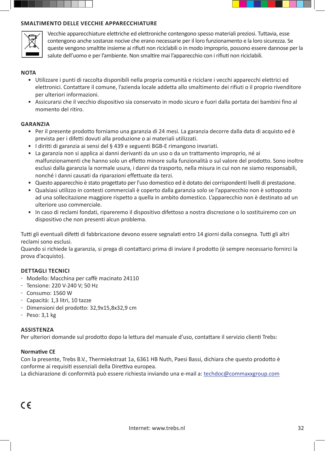

#### **SMALTIMENTO DELLE VECCHIE APPARECCHIATURE**



Vecchie apparecchiature elettriche ed elettroniche contengono spesso materiali preziosi. Tuttavia, esse contengono anche sostanze nocive che erano necessarie per il loro funzionamento e la loro sicurezza. Se queste vengono smaltite insieme ai rifiuti non riciclabili o in modo improprio, possono essere dannose per la salute dell'uomo e per l'ambiente. Non smaltire mai l'apparecchio con i rifiuti non riciclabili.

#### **NOTA**

- Utilizzare i punti di raccolta disponibili nella propria comunità e riciclare i vecchi apparecchi elettrici ed elettronici. Contattare il comune, l'azienda locale addetta allo smaltimento dei rifiuti o il proprio rivenditore per ulteriori informazioni.
- Assicurarsi che il vecchio dispositivo sia conservato in modo sicuro e fuori dalla portata dei bambini fino al momento del ritiro.

#### **GARANZIA**

- Per il presente prodotto forniamo una garanzia di 24 mesi. La garanzia decorre dalla data di acquisto ed è prevista per i difetti dovuti alla produzione o ai materiali utilizzati.
- I diritti di garanzia ai sensi del § 439 e seguenti BGB-E rimangono invariati.
- La garanzia non si applica ai danni derivanti da un uso o da un trattamento improprio, né ai malfunzionamenti che hanno solo un effetto minore sulla funzionalità o sul valore del prodotto. Sono inoltre esclusi dalla garanzia la normale usura, i danni da trasporto, nella misura in cui non ne siamo responsabili, nonché i danni causati da riparazioni effettuate da terzi.
- Questo apparecchio è stato progettato per l'uso domestico ed è dotato dei corrispondenti livelli di prestazione.
- Qualsiasi utilizzo in contesti commerciali è coperto dalla garanzia solo se l'apparecchio non è sottoposto ad una sollecitazione maggiore rispetto a quella in ambito domestico. L'apparecchio non è destinato ad un ulteriore uso commerciale.
- In caso di reclami fondati, ripareremo il dispositivo difettoso a nostra discrezione o lo sostituiremo con un dispositivo che non presenti alcun problema.

Tutti gli eventuali difetti di fabbricazione devono essere segnalati entro 14 giorni dalla consegna. Tutti gli altri reclami sono esclusi.

Quando si richiede la garanzia, si prega di contattarci prima di inviare il prodotto (è sempre necessario fornirci la prova d'acquisto).

#### **DETTAGLI TECNICI**

- Modello: Macchina per caffè macinato 24110
- Tensione: 220 V-240 V; 50 Hz
- Consumo: 1560 W
- Capacità: 1,3 litri, 10 tazze
- Dimensioni del prodotto: 32,9x15,8x32,9 cm
- $-$  Peso:  $3,1$  kg

#### **ASSISTENZA**

Per ulteriori domande sul prodotto dopo la lettura del manuale d'uso, contattare il servizio clienti Trebs:

#### **Normative CE**

Con la presente, Trebs B.V., Thermiekstraat 1a, 6361 HB Nuth, Paesi Bassi, dichiara che questo prodotto è conforme ai requisiti essenziali della Direttiva europea.

La dichiarazione di conformità può essere richiesta inviando una e-mail a: techdoc@commaxxgroup.com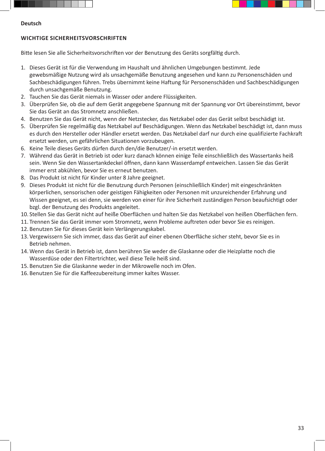



#### **Deutsch**

## **WICHTIGE SICHERHEITSVORSCHRIFTEN**

Bitte lesen Sie alle Sicherheitsvorschriften vor der Benutzung des Geräts sorgfältig durch.

- 1. Dieses Gerät ist für die Verwendung im Haushalt und ähnlichen Umgebungen bestimmt. Jede gewebsmäßige Nutzung wird als unsachgemäße Benutzung angesehen und kann zu Personenschäden und Sachbeschädigungen führen. Trebs übernimmt keine Haftung für Personenschäden und Sachbeschädigungen durch unsachgemäße Benutzung.
- 2. Tauchen Sie das Gerät niemals in Wasser oder andere Flüssigkeiten.
- 3. Überprüfen Sie, ob die auf dem Gerät angegebene Spannung mit der Spannung vor Ort übereinstimmt, bevor Sie das Gerät an das Stromnetz anschließen.
- 4. Benutzen Sie das Gerät nicht, wenn der Netzstecker, das Netzkabel oder das Gerät selbst beschädigt ist.
- 5. Überprüfen Sie regelmäßig das Netzkabel auf Beschädigungen. Wenn das Netzkabel beschädigt ist, dann muss es durch den Hersteller oder Händler ersetzt werden. Das Netzkabel darf nur durch eine qualifizierte Fachkraft ersetzt werden, um gefährlichen Situationen vorzubeugen.
- 6. Keine Teile dieses Geräts dürfen durch den/die Benutzer/-in ersetzt werden.
- 7. Während das Gerät in Betrieb ist oder kurz danach können einige Teile einschließlich des Wassertanks heiß sein. Wenn Sie den Wassertankdeckel öffnen, dann kann Wasserdampf entweichen. Lassen Sie das Gerät immer erst abkühlen, bevor Sie es erneut benutzen.
- 8. Das Produkt ist nicht für Kinder unter 8 Jahre geeignet.
- 9. Dieses Produkt ist nicht für die Benutzung durch Personen (einschließlich Kinder) mit eingeschränkten körperlichen, sensorischen oder geistigen Fähigkeiten oder Personen mit unzureichender Erfahrung und Wissen geeignet, es sei denn, sie werden von einer für ihre Sicherheit zuständigen Person beaufsichtigt oder bzgl. der Benutzung des Produkts angeleitet.
- 10. Stellen Sie das Gerät nicht auf heiße Oberflächen und halten Sie das Netzkabel von heißen Oberflächen fern.
- 11. Trennen Sie das Gerät immer vom Stromnetz, wenn Probleme auftreten oder bevor Sie es reinigen.
- 12. Benutzen Sie für dieses Gerät kein Verlängerungskabel.
- 13. Vergewissern Sie sich immer, dass das Gerät auf einer ebenen Oberfläche sicher steht, bevor Sie es in Betrieb nehmen.
- 14. Wenn das Gerät in Betrieb ist, dann berühren Sie weder die Glaskanne oder die Heizplatte noch die Wasserdüse oder den Filtertrichter, weil diese Teile heiß sind.
- 15. Benutzen Sie die Glaskanne weder in der Mikrowelle noch im Ofen.
- 16. Benutzen Sie für die Kaffeezubereitung immer kaltes Wasser.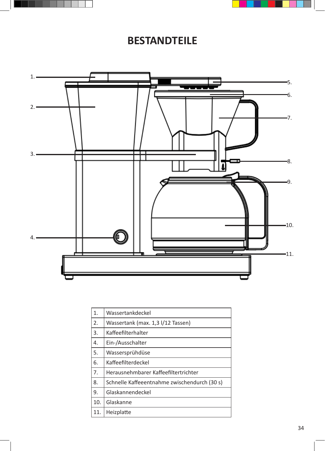



## **BESTANDTEILE**



| 1.  | Wassertankdeckel                             |
|-----|----------------------------------------------|
| 2.  | Wassertank (max. 1,3 l/12 Tassen)            |
| 3.  | Kaffeefilterhalter                           |
| 4.  | Ein-/Ausschalter                             |
| 5.  | Wassersprühdüse                              |
| 6.  | Kaffeefilterdeckel                           |
| 7.  | Herausnehmbarer Kaffeefiltertrichter         |
| 8.  | Schnelle Kaffeeentnahme zwischendurch (30 s) |
| 9.  | Glaskannendeckel                             |
| 10. | Glaskanne                                    |
| 11. | Heizplatte                                   |
|     |                                              |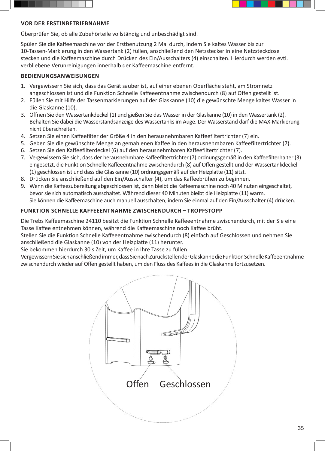



#### **VOR DER ERSTINBETRIEBNAHME**

Überprüfen Sie, ob alle Zubehörteile vollständig und unbeschädigt sind.

Spülen Sie die Kaffeemaschine vor der Erstbenutzung 2 Mal durch, indem Sie kaltes Wasser bis zur 10-Tassen-Markierung in den Wassertank (2) füllen, anschließend den Netzstecker in eine Netzsteckdose stecken und die Kaffeemaschine durch Drücken des Ein/Ausschalters (4) einschalten. Hierdurch werden evtl. verbliebene Verunreinigungen innerhalb der Kaffeemaschine entfernt.

#### **BEDIENUNGSANWEISUNGEN**

- 1. Vergewissern Sie sich, dass das Gerät sauber ist, auf einer ebenen Oberfläche steht, am Stromnetz angeschlossen ist und die Funktion Schnelle Kaffeeentnahme zwischendurch (8) auf Offen gestellt ist.
- 2. Füllen Sie mit Hilfe der Tassenmarkierungen auf der Glaskanne (10) die gewünschte Menge kaltes Wasser in die Glaskanne (10).
- 3. Öffnen Sie den Wassertankdeckel (1) und gießen Sie das Wasser in der Glaskanne (10) in den Wassertank (2). Behalten Sie dabei die Wasserstandsanzeige des Wassertanks im Auge. Der Wasserstand darf die MAX-Markierung nicht überschreiten.
- 4. Setzen Sie einen Kaffeefilter der Größe 4 in den herausnehmbaren Kaffeefiltertrichter (7) ein.
- 5. Geben Sie die gewünschte Menge an gemahlenen Kaffee in den herausnehmbaren Kaffeefiltertrichter (7).
- 6. Setzen Sie den Kaffeefilterdeckel (6) auf den herausnehmbaren Kaffeefiltertrichter (7).
- 7. Vergewissern Sie sich, dass der herausnehmbare Kaffeefiltertrichter (7) ordnungsgemäß in den Kaffeefilterhalter (3) eingesetzt, die Funktion Schnelle Kaffeeentnahme zwischendurch (8) auf Offen gestellt und der Wassertankdeckel (1) geschlossen ist und dass die Glaskanne (10) ordnungsgemäß auf der Heizplatte (11) sitzt.
- 8. Drücken Sie anschließend auf den Ein/Ausschalter (4), um das Kaffeebrühen zu beginnen.
- 9. Wenn die Kaffeezubereitung abgeschlossen ist, dann bleibt die Kaffeemaschine noch 40 Minuten eingeschaltet, bevor sie sich automatisch ausschaltet. Während dieser 40 Minuten bleibt die Heizplatte (11) warm. Sie können die Kaffeemaschine auch manuell ausschalten, indem Sie einmal auf den Ein/Ausschalter (4) drücken.

#### **FUNKTION SCHNELLE KAFFEEENTNAHME ZWISCHENDURCH – TROPFSTOPP**

Die Trebs Kaffeemaschine 24110 besitzt die Funktion Schnelle Kaffeeentnahme zwischendurch, mit der Sie eine Tasse Kaffee entnehmen können, während die Kaffeemaschine noch Kaffee brüht.

Stellen Sie die Funktion Schnelle Kaffeeentnahme zwischendurch (8) einfach auf Geschlossen und nehmen Sie anschließend die Glaskanne (10) von der Heizplatte (11) herunter.

Sie bekommen hierdurch 30 s Zeit, um Kaffee in Ihre Tasse zu füllen.

Vergewissern Sie sich anschließend immer, dass Sie nach Zurückstellen der Glaskanne die Funktion Schnelle Kaffeeentnahme zwischendurch wieder auf Offen gestellt haben, um den Fluss des Kaffees in die Glaskanne fortzusetzen.

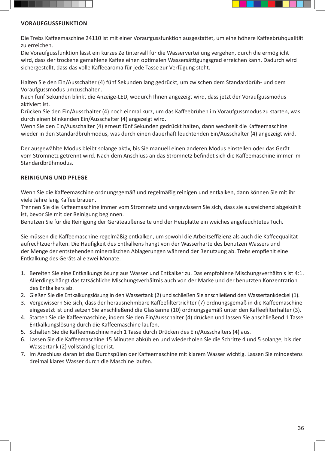



### **VORAUFGUSSFUNKTION**

Die Trebs Kaffeemaschine 24110 ist mit einer Voraufgussfunktion ausgestattet, um eine höhere Kaffeebrühqualität zu erreichen.

Die Voraufgussfunktion lässt ein kurzes Zeitintervall für die Wasserverteilung vergehen, durch die ermöglicht wird, dass der trockene gemahlene Kaffee einen optimalen Wassersättigungsgrad erreichen kann. Dadurch wird sichergestellt, dass das volle Kaffeearoma für jede Tasse zur Verfügung steht.

Halten Sie den Ein/Ausschalter (4) fünf Sekunden lang gedrückt, um zwischen dem Standardbrüh- und dem Voraufgussmodus umzuschalten.

Nach fünf Sekunden blinkt die Anzeige-LED, wodurch Ihnen angezeigt wird, dass jetzt der Voraufgussmodus aktiviert ist.

Drücken Sie den Ein/Ausschalter (4) noch einmal kurz, um das Kaffeebrühen im Voraufgussmodus zu starten, was durch einen blinkenden Ein/Ausschalter (4) angezeigt wird.

Wenn Sie den Ein/Ausschalter (4) erneut fünf Sekunden gedrückt halten, dann wechselt die Kaffeemaschine wieder in den Standardbrühmodus, was durch einen dauerhaft leuchtenden Ein/Ausschalter (4) angezeigt wird.

Der ausgewählte Modus bleibt solange aktiv, bis Sie manuell einen anderen Modus einstellen oder das Gerät vom Stromnetz getrennt wird. Nach dem Anschluss an das Stromnetz befindet sich die Kaffeemaschine immer im Standardbrühmodus.

## **REINIGUNG UND PFLEGE**

Wenn Sie die Kaffeemaschine ordnungsgemäß und regelmäßig reinigen und entkalken, dann können Sie mit ihr viele Jahre lang Kaffee brauen.

Trennen Sie die Kaffeemaschine immer vom Stromnetz und vergewissern Sie sich, dass sie ausreichend abgekühlt ist, bevor Sie mit der Reinigung beginnen.

Benutzen Sie für die Reinigung der Geräteaußenseite und der Heizplatte ein weiches angefeuchtetes Tuch.

Sie müssen die Kaffeemaschine regelmäßig entkalken, um sowohl die Arbeitseffizienz als auch die Kaffeequalität aufrechtzuerhalten. Die Häufigkeit des Entkalkens hängt von der Wasserhärte des benutzen Wassers und der Menge der entstehenden mineralischen Ablagerungen während der Benutzung ab. Trebs empfiehlt eine Entkalkung des Geräts alle zwei Monate.

- 1. Bereiten Sie eine Entkalkungslösung aus Wasser und Entkalker zu. Das empfohlene Mischungsverhältnis ist 4:1. Allerdings hängt das tatsächliche Mischungsverhältnis auch von der Marke und der benutzten Konzentration des Entkalkers ab.
- 2. Gießen Sie die Entkalkungslösung in den Wassertank (2) und schließen Sie anschließend den Wassertankdeckel (1).
- 3. Vergewissern Sie sich, dass der herausnehmbare Kaffeefiltertrichter (7) ordnungsgemäß in die Kaffeemaschine eingesetzt ist und setzen Sie anschließend die Glaskanne (10) ordnungsgemäß unter den Kaffeefilterhalter (3).
- 4. Starten Sie die Kaffeemaschine, indem Sie den Ein/Ausschalter (4) drücken und lassen Sie anschließend 1 Tasse Entkalkungslösung durch die Kaffeemaschine laufen.
- 5. Schalten Sie die Kaffeemaschine nach 1 Tasse durch Drücken des Ein/Ausschalters (4) aus.
- 6. Lassen Sie die Kaffeemaschine 15 Minuten abkühlen und wiederholen Sie die Schritte 4 und 5 solange, bis der Wassertank (2) vollständig leer ist.
- 7. Im Anschluss daran ist das Durchspülen der Kaffeemaschine mit klarem Wasser wichtig. Lassen Sie mindestens dreimal klares Wasser durch die Maschine laufen.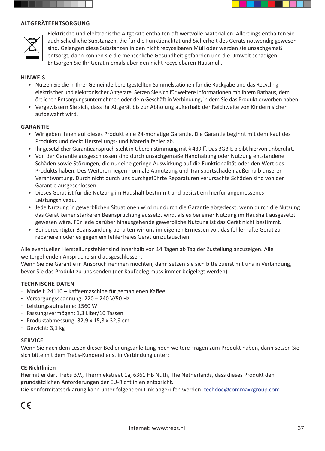



Elektrische und elektronische Altgeräte enthalten oft wertvolle Materialien. Allerdings enthalten Sie auch schädliche Substanzen, die für die Funktionalität und Sicherheit des Geräts notwendig gewesen sind. Gelangen diese Substanzen in den nicht recycelbaren Müll oder werden sie unsachgemäß entsorgt, dann können sie die menschliche Gesundheit gefährden und die Umwelt schädigen. Entsorgen Sie Ihr Gerät niemals über den nicht recyclebaren Hausmüll.

#### **HINWEIS**

- Nutzen Sie die in Ihrer Gemeinde bereitgestellten Sammelstationen für die Rückgabe und das Recycling elektrischer und elektronischer Altgeräte. Setzen Sie sich für weitere Informationen mit Ihrem Rathaus, dem örtlichen Entsorgungsunternehmen oder dem Geschäft in Verbindung, in dem Sie das Produkt erworben haben.
- Vergewissern Sie sich, dass Ihr Altgerät bis zur Abholung außerhalb der Reichweite von Kindern sicher aufbewahrt wird.

#### **GARANTIE**

- Wir geben Ihnen auf dieses Produkt eine 24-monatige Garantie. Die Garantie beginnt mit dem Kauf des Produkts und deckt Herstellungs- und Materialfehler ab.
- Ihr gesetzlicher Garantieanspruch steht in Übereinstimmung mit § 439 ff. Das BGB-E bleibt hiervon unberührt.
- Von der Garantie ausgeschlossen sind durch unsachgemäße Handhabung oder Nutzung entstandene Schäden sowie Störungen, die nur eine geringe Auswirkung auf die Funktionalität oder den Wert des Produkts haben. Des Weiteren liegen normale Abnutzung und Transportschäden außerhalb unserer Verantwortung. Durch nicht durch uns durchgeführte Reparaturen verursachte Schäden sind von der Garantie ausgeschlossen.
- Dieses Gerät ist für die Nutzung im Haushalt bestimmt und besitzt ein hierfür angemessenes Leistungsniveau.
- Jede Nutzung in gewerblichen Situationen wird nur durch die Garantie abgedeckt, wenn durch die Nutzung das Gerät keiner stärkeren Beanspruchung aussetzt wird, als es bei einer Nutzung im Haushalt ausgesetzt gewesen wäre. Für jede darüber hinausgehende gewerbliche Nutzung ist das Gerät nicht bestimmt.
- Bei berechtigter Beanstandung behalten wir uns im eigenen Ermessen vor, das fehlerhafte Gerät zu reparieren oder es gegen ein fehlerfreies Gerät umzutauschen.

Alle eventuellen Herstellungsfehler sind innerhalb von 14 Tagen ab Tag der Zustellung anzuzeigen. Alle weitergehenden Ansprüche sind ausgeschlossen.

Wenn Sie die Garantie in Anspruch nehmen möchten, dann setzen Sie sich bitte zuerst mit uns in Verbindung, bevor Sie das Produkt zu uns senden (der Kaufbeleg muss immer beigelegt werden).

#### **TECHNISCHE DATEN**

- Modell: 24110 Kaffeemaschine für gemahlenen Kaffee
- Versorgungsspannung: 220 240 V/50 Hz
- Leistungsaufnahme: 1560 W
- Fassungsvermögen: 1,3 Liter/10 Tassen
- $-$  Produktabmessung: 32,9 x 15,8 x 32,9 cm
- Gewicht: 3,1 kg

#### **SERVICE**

Wenn Sie nach dem Lesen dieser Bedienungsanleitung noch weitere Fragen zum Produkt haben, dann setzen Sie sich bitte mit dem Trebs-Kundendienst in Verbindung unter:

#### **CE-Richtlinien**

Hiermit erklärt Trebs B.V., Thermiekstraat 1a, 6361 HB Nuth, The Netherlands, dass dieses Produkt den grundsätzlichen Anforderungen der EU-Richtlinien entspricht.

Die Konformitätserklärung kann unter folgendem Link abgerufen werden: techdoc@commaxxgroup.com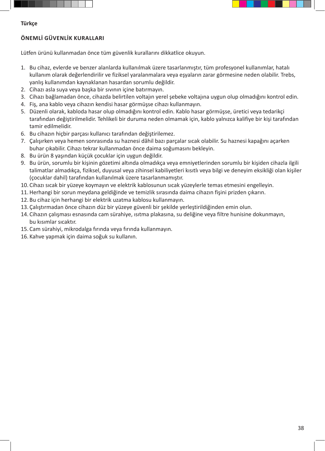

### **ÖNEMLİ GÜVENLİK KURALLARI**

Lütfen ürünü kullanmadan önce tüm güvenlik kurallarını dikkatlice okuyun.

- 1. Bu cihaz, evlerde ve benzer alanlarda kullanılmak üzere tasarlanmıştır, tüm profesyonel kullanımlar, hatalı kullanım olarak değerlendirilir ve fiziksel yaralanmalara veya eşyaların zarar görmesine neden olabilir. Trebs, yanlış kullanımdan kaynaklanan hasardan sorumlu değildir.
- 2. Cihazı asla suya veya başka bir sıvının içine batırmayın.
- 3. Cihazı bağlamadan önce, cihazda belirtilen voltajın yerel şebeke voltajına uygun olup olmadığını kontrol edin.
- 4. Fiş, ana kablo veya cihazın kendisi hasar görmüşse cihazı kullanmayın.
- 5. Düzenli olarak, kabloda hasar olup olmadığını kontrol edin. Kablo hasar görmüşse, üretici veya tedarikçi tarafından değiştirilmelidir. Tehlikeli bir duruma neden olmamak için, kablo yalnızca kalifiye bir kişi tarafından tamir edilmelidir.
- 6. Bu cihazın hiçbir parçası kullanıcı tarafından değiştirilemez.
- 7. Çalışırken veya hemen sonrasında su haznesi dâhil bazı parçalar sıcak olabilir. Su haznesi kapağını açarken buhar çıkabilir. Cihazı tekrar kullanmadan önce daima soğumasını bekleyin.
- 8. Bu ürün 8 yaşından küçük çocuklar için uygun değildir.
- 9. Bu ürün, sorumlu bir kişinin gözetimi altında olmadıkça veya emniyetlerinden sorumlu bir kişiden cihazla ilgili talimatlar almadıkça, fiziksel, duyusal veya zihinsel kabiliyetleri kısıtlı veya bilgi ve deneyim eksikliği olan kişiler (çocuklar dahil) tarafından kullanılmak üzere tasarlanmamıştır.
- 10. Cihazı sıcak bir yüzeye koymayın ve elektrik kablosunun sıcak yüzeylerle temas etmesini engelleyin.
- 11.Herhangi bir sorun meydana geldiğinde ve temizlik sırasında daima cihazın fişini prizden çıkarın.
- 12. Bu cihaz için herhangi bir elektrik uzatma kablosu kullanmayın.
- 13. Çalıştırmadan önce cihazın düz bir yüzeye güvenli bir şekilde yerleştirildiğinden emin olun.
- 14. Cihazın çalışması esnasında cam sürahiye, ısıtma plakasına, su deliğine veya filtre hunisine dokunmayın, bu kısımlar sıcaktır.
- 15. Cam sürahiyi, mikrodalga fırında veya fırında kullanmayın.
- 16. Kahve yapmak için daima soğuk su kullanın.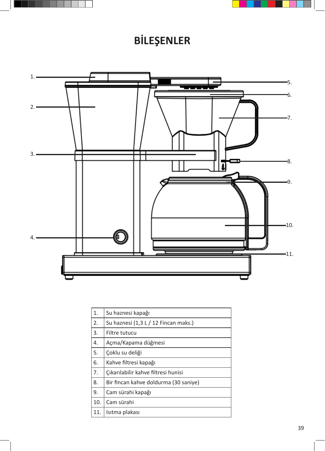



# **BİLEŞENLER**



| 1.  | Su haznesi kapağı                     |
|-----|---------------------------------------|
| 2.  | Su haznesi (1,3 L / 12 Fincan maks.)  |
| 3.  | Filtre tutucu                         |
| 4.  | Açma/Kapama düğmesi                   |
| 5.  | Çoklu su deliği                       |
| 6.  | Kahve filtresi kapağı                 |
| 7.  | Çıkarılabilir kahve filtresi hunisi   |
| 8.  | Bir fincan kahve doldurma (30 saniye) |
| 9.  | Cam sürahi kapağı                     |
| 10. | Cam sürahi                            |
| 11. | Isitma plakası                        |
|     |                                       |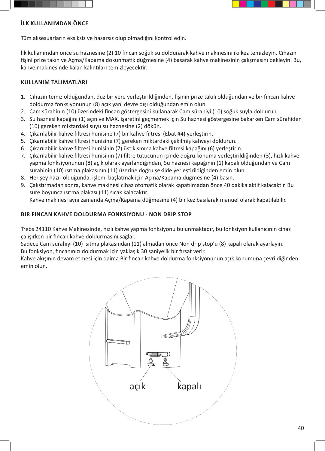



## **İLK KULLANIMDAN ÖNCE**

Tüm aksesuarların eksiksiz ve hasarsız olup olmadığını kontrol edin.

İlk kullanımdan önce su haznesine (2) 10 fincan soğuk su doldurarak kahve makinesini iki kez temizleyin. Cihazın fişini prize takın ve Açma/Kapama dokunmatik düğmesine (4) basarak kahve makinesinin çalışmasını bekleyin. Bu, kahve makinesinde kalan kalıntıları temizleyecektir.

## **KULLANIM TALIMATLARI**

- 1. Cihazın temiz olduğundan, düz bir yere yerleştirildiğinden, fişinin prize takılı olduğundan ve bir fincan kahve doldurma fonksiyonunun (8) açık yani devre dışı olduğundan emin olun.
- 2. Cam sürahinin (10) üzerindeki fincan göstergesini kullanarak Cam sürahiyi (10) soğuk suyla doldurun.
- 3. Su haznesi kapağını (1) açın ve MAX. işaretini geçmemek için Su haznesi göstergesine bakarken Cam sürahiden (10) gereken miktardaki suyu su haznesine (2) dökün.
- 4. Çıkarılabilir kahve filtresi hunisine (7) bir kahve filtresi (Ebat #4) yerleştirin.
- 5. Çıkarılabilir kahve filtresi hunisine (7) gereken miktardaki çekilmiş kahveyi doldurun.
- 6. Çıkarılabilir kahve filtresi hunisinin (7) üst kısmına kahve filtresi kapağını (6) yerleştirin.
- 7. Çıkarılabilir kahve filtresi hunisinin (7) filtre tutucunun içinde doğru konuma yerleştirildiğinden (3), hızlı kahve yapma fonksiyonunun (8) açık olarak ayarlandığından, Su haznesi kapağının (1) kapalı olduğundan ve Cam sürahinin (10) ısıtma plakasının (11) üzerine doğru şekilde yerleştirildiğinden emin olun.
- 8. Her şey hazır olduğunda, işlemi başlatmak için Açma/Kapama düğmesine (4) basın.
- 9. Çalıştırmadan sonra, kahve makinesi cihaz otomatik olarak kapatılmadan önce 40 dakika aktif kalacaktır. Bu süre boyunca ısıtma plakası (11) sıcak kalacaktır.

## Kahve makinesi aynı zamanda Açma/Kapama düğmesine (4) bir kez basılarak manuel olarak kapatılabilir.

## **BIR FINCAN KAHVE DOLDURMA FONKSIYONU - NON DRIP STOP**

Trebs 24110 Kahve Makinesinde, hızlı kahve yapma fonksiyonu bulunmaktadır, bu fonksiyon kullanıcının cihaz çalışırken bir fincan kahve doldurmasını sağlar.

Sadece Cam sürahiyi (10) ısıtma plakasından (11) almadan önce Non drip stop'u (8) kapalı olarak ayarlayın. Bu fonksiyon, fincanınızı doldurmak için yaklaşık 30 saniyelik bir fırsat verir.

Kahve akışının devam etmesi için daima Bir fincan kahve doldurma fonksiyonunun açık konumuna çevrildiğinden emin olun.

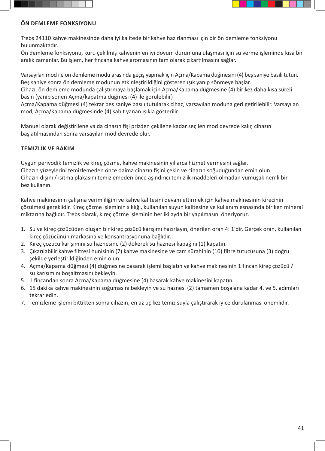



## **ÖN DEMLEME FONKSIYONU**

Trebs 24110 kahve makinesinde daha iyi kalitede bir kahve hazırlanması için bir ön demleme fonksiyonu bulunmaktadır.

Ön demleme fonksiyonu, kuru çekilmiş kahvenin en iyi doyum durumuna ulaşması için su verme işleminde kısa bir aralık zamanlar. Bu işlem, her fincana kahve aromasının tam olarak çıkartılmasını sağlar.

Varsayılan mod ile ön demleme modu arasında geçiş yapmak için Açma/Kapama düğmesini (4) beş saniye basılı tutun. Beş saniye sonra ön demleme modunun etkinleştirildiğini gösteren ışık yanıp sönmeye başlar.

Cihazı, ön demleme modunda çalıştırmaya başlamak için Açma/Kapama düğmesine (4) bir kez daha kısa süreli basın (yanıp sönen Açma/kapatma düğmesi (4) ile görülebilir)

Açma/Kapama düğmesi (4) tekrar beş saniye basılı tutularak cihaz, varsayılan moduna geri getirilebilir. Varsayılan mod, Açma/Kapama düğmesinde (4) sabit yanan ışıkla gösterilir.

Manuel olarak değiştirilene ya da cihazın fişi prizden çekilene kadar seçilen mod devrede kalır, cihazın başlatılmasından sonra varsayılan mod devrede olur.

## **TEMIZLIK VE BAKIM**

Uygun periyodik temizlik ve kireç çözme, kahve makinesinin yıllarca hizmet vermesini sağlar. Cihazın yüzeylerini temizlemeden önce daima cihazın fişini çekin ve cihazın soğuduğundan emin olun. Cihazın dışını / ısıtma plakasını temizlemeden önce aşındırıcı temizlik maddeleri olmadan yumuşak nemli bir bez kullanın.

Kahve makinesinin çalışma verimliliğini ve kahve kalitesini devam ettirmek için kahve makinesinin kirecinin çözülmesi gereklidir. Kireç çözme işleminin sıklığı, kullanılan suyun kalitesine ve kullanım esnasında biriken mineral miktarına bağlıdır. Trebs olarak, kireç çözme işleminin her iki ayda bir yapılmasını öneriyoruz.

- 1. Su ve kireç çözücüden oluşan bir kireç çözücü karışımı hazırlayın, önerilen oran 4: 1'dir. Gerçek oran, kullanılan kireç çözücünün markasına ve konsantrasyonuna bağlıdır.
- 2. Kireç çözücü karışımını su haznesine (2) dökerek su haznesi kapağını (1) kapatın.
- 3. Çıkarılabilir kahve filtresi hunisinin (7) kahve makinesine ve cam sürahinin (10) filtre tutucusuna (3) doğru şekilde yerleştirildiğinden emin olun.
- 4. Açma/Kapama düğmesi (4) düğmesine basarak işlemi başlatın ve kahve makinesinin 1 fincan kireç çözücü / su karışımını boşaltmasını bekleyin.
- 5. 1 fincandan sonra Açma/Kapama düğmesine (4) basarak kahve makinesini kapatın.
- 6. 15 dakika kahve makinesinin soğumasını bekleyin ve su haznesi (2) tamamen boşalana kadar 4. ve 5. adımları tekrar edin.
- 7. Temizleme işlemi bittikten sonra cihazın, en az üç kez temiz suyla çalıştırarak iyice durulanması önemlidir.